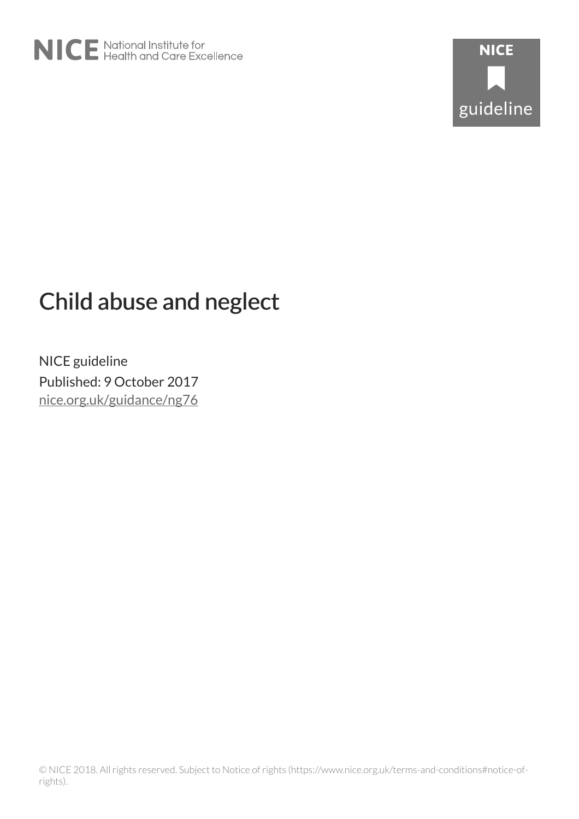

# Child abuse and neglect

NICE guideline Published: 9 October 2017 [nice.org.uk/guidance/ng76](http://nice.org.uk/guidance/ng76)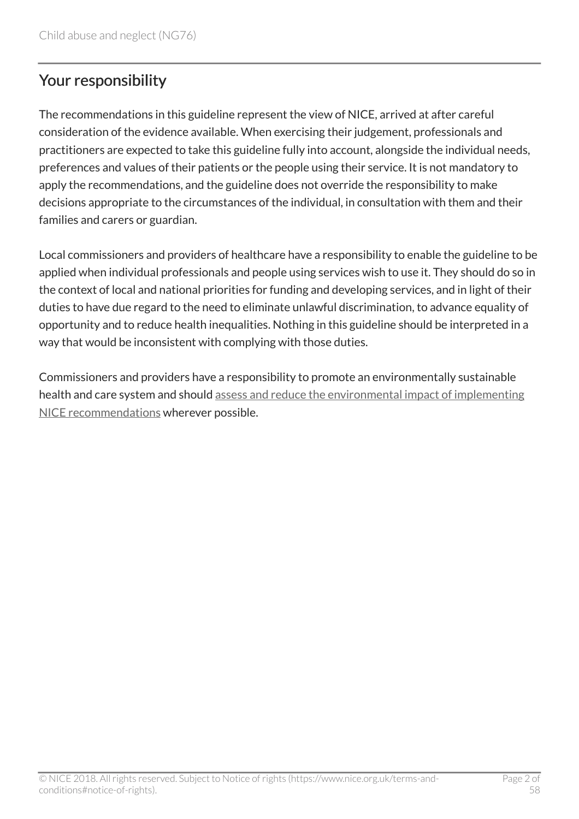# Your responsibility

The recommendations in this guideline represent the view of NICE, arrived at after careful consideration of the evidence available. When exercising their judgement, professionals and practitioners are expected to take this guideline fully into account, alongside the individual needs, preferences and values of their patients or the people using their service. It is not mandatory to apply the recommendations, and the guideline does not override the responsibility to make decisions appropriate to the circumstances of the individual, in consultation with them and their families and carers or guardian.

Local commissioners and providers of healthcare have a responsibility to enable the guideline to be applied when individual professionals and people using services wish to use it. They should do so in the context of local and national priorities for funding and developing services, and in light of their duties to have due regard to the need to eliminate unlawful discrimination, to advance equality of opportunity and to reduce health inequalities. Nothing in this guideline should be interpreted in a way that would be inconsistent with complying with those duties.

Commissioners and providers have a responsibility to promote an environmentally sustainable health and care system and should [assess and reduce the environmental impact of implementing](https://www.nice.org.uk/about/who-we-are/sustainability) [NICE recommendations](https://www.nice.org.uk/about/who-we-are/sustainability) wherever possible.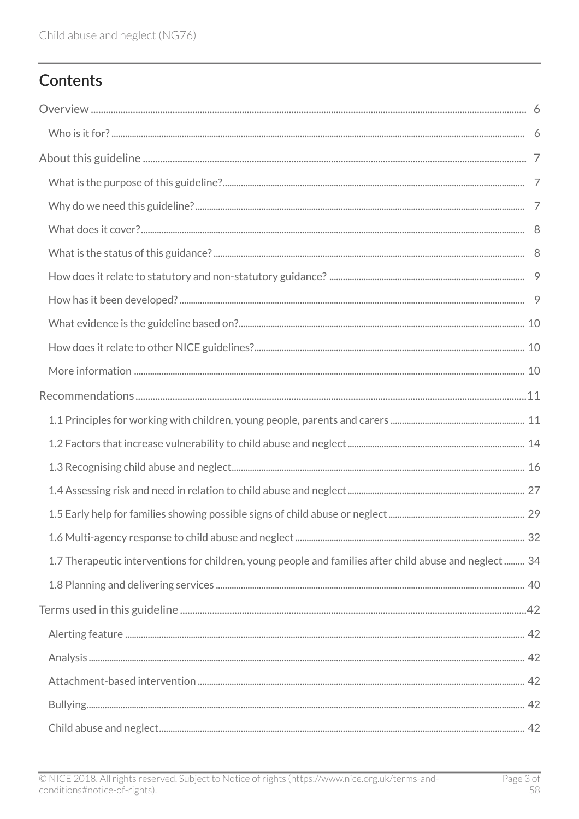# Contents

| 1.7 Therapeutic interventions for children, young people and families after child abuse and neglect 34 |  |
|--------------------------------------------------------------------------------------------------------|--|
|                                                                                                        |  |
|                                                                                                        |  |
|                                                                                                        |  |
|                                                                                                        |  |
|                                                                                                        |  |
|                                                                                                        |  |
|                                                                                                        |  |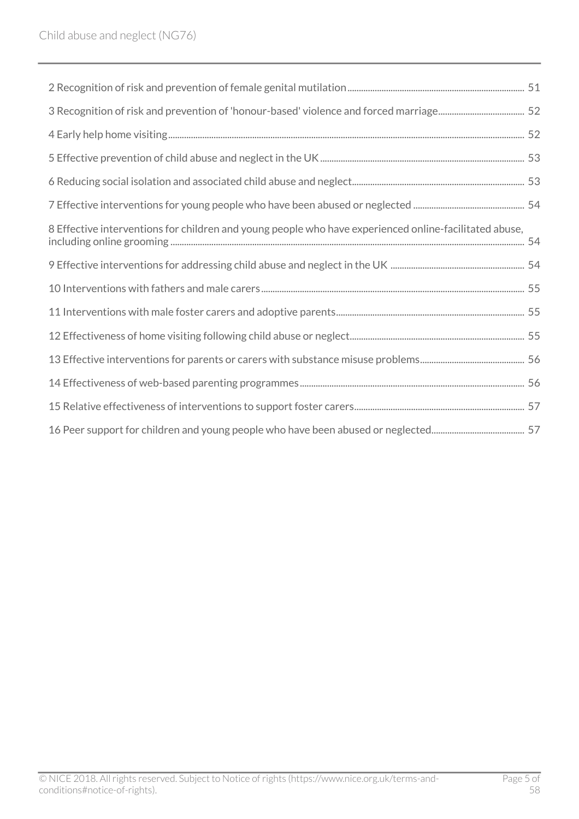| 8 Effective interventions for children and young people who have experienced online-facilitated abuse, |  |
|--------------------------------------------------------------------------------------------------------|--|
|                                                                                                        |  |
|                                                                                                        |  |
|                                                                                                        |  |
|                                                                                                        |  |
|                                                                                                        |  |
|                                                                                                        |  |
|                                                                                                        |  |
|                                                                                                        |  |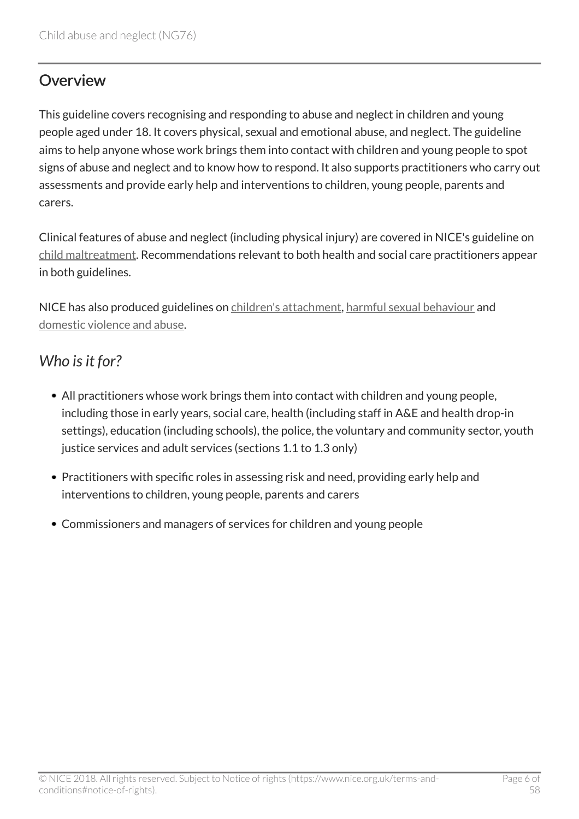### <span id="page-5-0"></span>Overview

This guideline covers recognising and responding to abuse and neglect in children and young people aged under 18. It covers physical, sexual and emotional abuse, and neglect. The guideline aims to help anyone whose work brings them into contact with children and young people to spot signs of abuse and neglect and to know how to respond. It also supports practitioners who carry out assessments and provide early help and interventions to children, young people, parents and carers.

Clinical features of abuse and neglect (including physical injury) are covered in NICE's guideline on [child maltreatment.](https://www.nice.org.uk/guidance/cg89/chapter/1-Guidance) Recommendations relevant to both health and social care practitioners appear in both guidelines.

NICE has also produced guidelines on [children's attachment,](http://www.nice.org.uk/guidance/ng26) [harmful sexual behaviour](http://www.nice.org.uk/guidance/ng55) and [domestic violence and abuse](http://www.nice.org.uk/guidance/ph50).

# <span id="page-5-1"></span>*Who is it for?*

- All practitioners whose work brings them into contact with children and young people, including those in early years, social care, health (including staff in A&E and health drop-in settings), education (including schools), the police, the voluntary and community sector, youth justice services and adult services (sections 1.1 to 1.3 only)
- Practitioners with specific roles in assessing risk and need, providing early help and interventions to children, young people, parents and carers
- Commissioners and managers of services for children and young people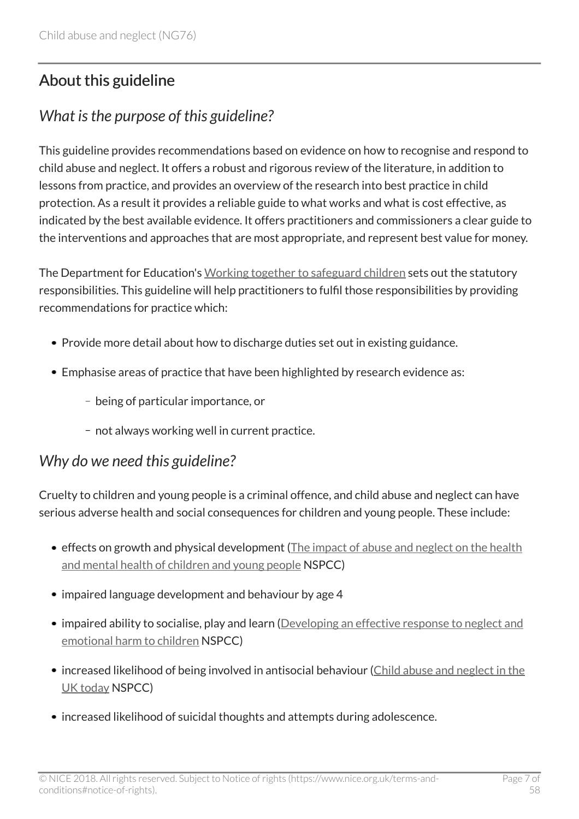# <span id="page-6-0"></span>About this guideline

# <span id="page-6-1"></span>*What is the purpose of this guideline?*

This guideline provides recommendations based on evidence on how to recognise and respond to child abuse and neglect. It offers a robust and rigorous review of the literature, in addition to lessons from practice, and provides an overview of the research into best practice in child protection. As a result it provides a reliable guide to what works and what is cost effective, as indicated by the best available evidence. It offers practitioners and commissioners a clear guide to the interventions and approaches that are most appropriate, and represent best value for money.

The Department for Education's [Working together to safeguard children](http://www.gov.uk/government/publications/working-together-to-safeguard-children--2) sets out the statutory responsibilities. This guideline will help practitioners to fulfil those responsibilities by providing recommendations for practice which:

- Provide more detail about how to discharge duties set out in existing guidance.
- Emphasise areas of practice that have been highlighted by research evidence as:
	- being of particular importance, or
	- not always working well in current practice.

### <span id="page-6-2"></span>*Why do we need this guideline?*

Cruelty to children and young people is a criminal offence, and child abuse and neglect can have serious adverse health and social consequences for children and young people. These include:

- effects on growth and physical development ([The impact of abuse and neglect on the health](http://www.childmatters.org.nz/file/Diploma-Readings/Block-2/Neglect/4.5-impact-of-abuse-and-neglect-on-health-mh-updated.pdf) [and mental health of children and young people](http://www.childmatters.org.nz/file/Diploma-Readings/Block-2/Neglect/4.5-impact-of-abuse-and-neglect-on-health-mh-updated.pdf) NSPCC)
- impaired language development and behaviour by age 4
- impaired ability to socialise, play and learn [\(Developing an effective response to neglect and](http://www.nspcc.org.uk/globalassets/documents/research-reports/developing-effective-response-neglect-emotional-harm-children.pdf) [emotional harm to children](http://www.nspcc.org.uk/globalassets/documents/research-reports/developing-effective-response-neglect-emotional-harm-children.pdf) NSPCC)
- increased likelihood of being involved in antisocial behaviour [\(Child abuse and neglect in the](http://www.nspcc.org.uk/services-and-resources/research-and-resources/pre-2013/child-abuse-and-neglect-in-the-uk-today/) [UK today](http://www.nspcc.org.uk/services-and-resources/research-and-resources/pre-2013/child-abuse-and-neglect-in-the-uk-today/) NSPCC)
- increased likelihood of suicidal thoughts and attempts during adolescence.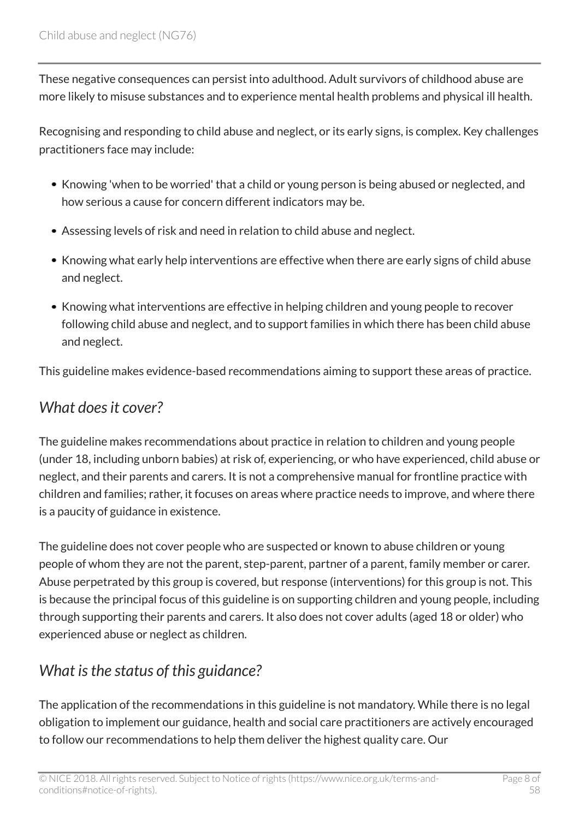These negative consequences can persist into adulthood. Adult survivors of childhood abuse are more likely to misuse substances and to experience mental health problems and physical ill health.

Recognising and responding to child abuse and neglect, or its early signs, is complex. Key challenges practitioners face may include:

- Knowing 'when to be worried' that a child or young person is being abused or neglected, and how serious a cause for concern different indicators may be.
- Assessing levels of risk and need in relation to child abuse and neglect.
- Knowing what early help interventions are effective when there are early signs of child abuse and neglect.
- Knowing what interventions are effective in helping children and young people to recover following child abuse and neglect, and to support families in which there has been child abuse and neglect.

This guideline makes evidence-based recommendations aiming to support these areas of practice.

### <span id="page-7-0"></span>*What does it cover?*

The guideline makes recommendations about practice in relation to children and young people (under 18, including unborn babies) at risk of, experiencing, or who have experienced, child abuse or neglect, and their parents and carers. It is not a comprehensive manual for frontline practice with children and families; rather, it focuses on areas where practice needs to improve, and where there is a paucity of guidance in existence.

The guideline does not cover people who are suspected or known to abuse children or young people of whom they are not the parent, step-parent, partner of a parent, family member or carer. Abuse perpetrated by this group is covered, but response (interventions) for this group is not. This is because the principal focus of this guideline is on supporting children and young people, including through supporting their parents and carers. It also does not cover adults (aged 18 or older) who experienced abuse or neglect as children.

# <span id="page-7-1"></span>*What is the status of this guidance?*

The application of the recommendations in this guideline is not mandatory. While there is no legal obligation to implement our guidance, health and social care practitioners are actively encouraged to follow our recommendations to help them deliver the highest quality care. Our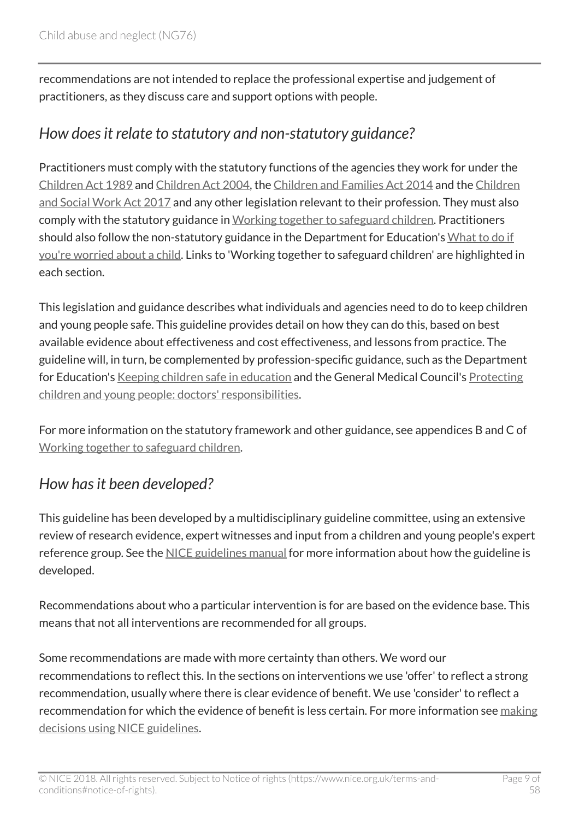recommendations are not intended to replace the professional expertise and judgement of practitioners, as they discuss care and support options with people.

### <span id="page-8-0"></span>*How does it relate to statutory and non-statutory guidance?*

Practitioners must comply with the statutory functions of the agencies they work for under the [Children Act 1989](http://www.legislation.gov.uk/ukpga/1989/41/contents) and [Children Act 2004,](http://www.legislation.gov.uk/ukpga/2004/31/pdfs/ukpga_20040031_en.pdf) the [Children and Families Act 2014](http://www.legislation.gov.uk/ukpga/2014/6/contents/enacted) and the [Children](http://www.legislation.gov.uk/ukpga/2017/16/contents/enacted) [and Social Work Act 2017](http://www.legislation.gov.uk/ukpga/2017/16/contents/enacted) and any other legislation relevant to their profession. They must also comply with the statutory guidance in [Working together to safeguard children.](http://www.gov.uk/government/publications/working-together-to-safeguard-children--2) Practitioners should also follow the non-statutory guidance in the Department for Education's [What to do if](http://www.gov.uk/government/publications/what-to-do-if-youre-worried-a-child-is-being-abused--2) [you're worried about a child.](http://www.gov.uk/government/publications/what-to-do-if-youre-worried-a-child-is-being-abused--2) Links to 'Working together to safeguard children' are highlighted in each section.

This legislation and guidance describes what individuals and agencies need to do to keep children and young people safe. This guideline provides detail on how they can do this, based on best available evidence about effectiveness and cost effectiveness, and lessons from practice. The guideline will, in turn, be complemented by profession-specific guidance, such as the Department for Education's [Keeping children safe in education](http://www.gov.uk/government/publications/keeping-children-safe-in-education--2) and the General Medical Council's [Protecting](http://www.gmc-uk.org/guidance/ethical_guidance/13257.asp) [children and young people: doctors' responsibilities](http://www.gmc-uk.org/guidance/ethical_guidance/13257.asp).

For more information on the statutory framework and other guidance, see appendices B and C of [Working together to safeguard children.](http://www.gov.uk/government/publications/working-together-to-safeguard-children--2)

# <span id="page-8-1"></span>*How has it been developed?*

This guideline has been developed by a multidisciplinary guideline committee, using an extensive review of research evidence, expert witnesses and input from a children and young people's expert reference group. See the [NICE guidelines manual](http://www.nice.org.uk/process/pmg20/chapter/introduction-and-overview) for more information about how the guideline is developed.

Recommendations about who a particular intervention is for are based on the evidence base. This means that not all interventions are recommended for all groups.

Some recommendations are made with more certainty than others. We word our recommendations to reflect this. In the sections on interventions we use 'offer' to reflect a strong recommendation, usually where there is clear evidence of benefit. We use 'consider' to reflect a recommendation for which the evidence of benefit is less certain. For more information see [making](http://www.nice.org.uk/about/what-we-do/our-programmes/nice-guidance/nice-guidelines/making-decisions-using-nice-guidelines) [decisions using NICE guidelines](http://www.nice.org.uk/about/what-we-do/our-programmes/nice-guidance/nice-guidelines/making-decisions-using-nice-guidelines).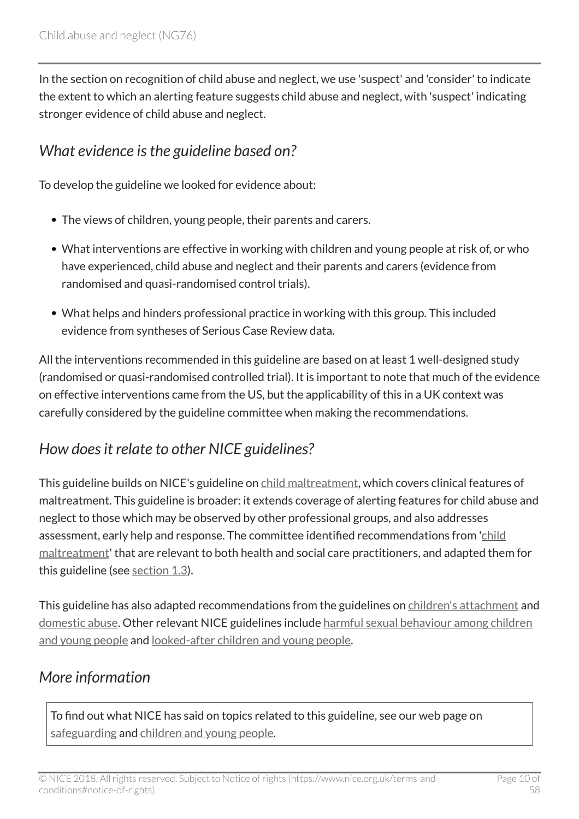In the section on recognition of child abuse and neglect, we use 'suspect' and 'consider' to indicate the extent to which an alerting feature suggests child abuse and neglect, with 'suspect' indicating stronger evidence of child abuse and neglect.

### <span id="page-9-0"></span>*What evidence is the guideline based on?*

To develop the guideline we looked for evidence about:

- The views of children, young people, their parents and carers.
- What interventions are effective in working with children and young people at risk of, or who have experienced, child abuse and neglect and their parents and carers (evidence from randomised and quasi-randomised control trials).
- What helps and hinders professional practice in working with this group. This included evidence from syntheses of Serious Case Review data.

All the interventions recommended in this guideline are based on at least 1 well-designed study (randomised or quasi-randomised controlled trial). It is important to note that much of the evidence on effective interventions came from the US, but the applicability of this in a UK context was carefully considered by the guideline committee when making the recommendations.

# <span id="page-9-1"></span>*How does it relate to other NICE guidelines?*

This guideline builds on NICE's guideline on [child maltreatment](http://www.nice.org.uk/guidance/cg89), which covers clinical features of maltreatment. This guideline is broader: it extends coverage of alerting features for child abuse and neglect to those which may be observed by other professional groups, and also addresses assessment, early help and response. The committee identified recommendations from '[child](http://www.nice.org.uk/guidance/cg89) [maltreatment](http://www.nice.org.uk/guidance/cg89)' that are relevant to both health and social care practitioners, and adapted them for this guideline (see [section 1.3\)](http://live-publications.nice.org.uk/recommendations#alerting-features-for-child-abuse-and-neglect).

This guideline has also adapted recommendations from the guidelines on [children's attachment](http://www.nice.org.uk/guidance/ng26) and [domestic abuse](http://www.nice.org.uk/guidance/ph50). Other relevant NICE guidelines include [harmful sexual behaviour among children](http://www.nice.org.uk/guidance/ng55) [and young people](http://www.nice.org.uk/guidance/ng55) and [looked-after children and young people](http://www.nice.org.uk/guidance/ph28).

### <span id="page-9-2"></span>*More information*

To find out what NICE has said on topics related to this guideline, see our web page on [safeguarding](http://www.nice.org.uk/guidance/service-delivery--organisation-and-staffing/safeguarding) and [children and young people](http://www.nice.org.uk/guidance/population-groups/children-and-young-people).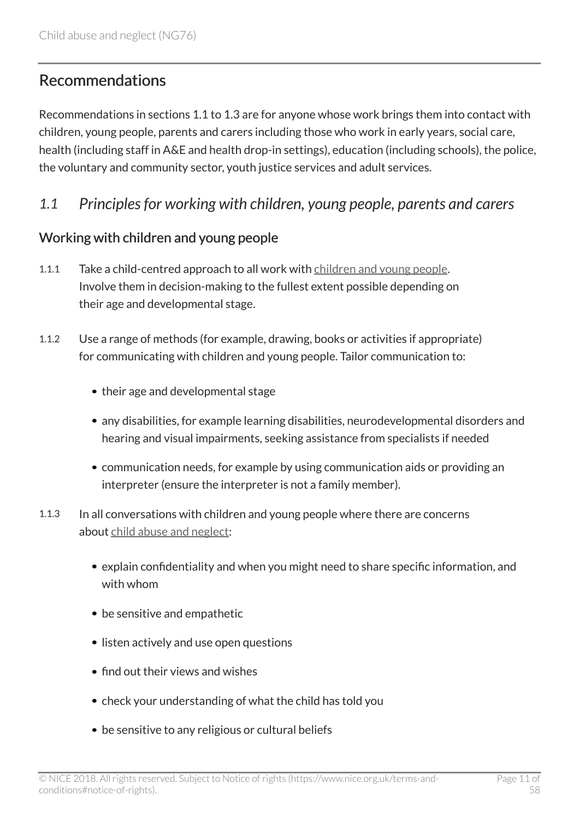# <span id="page-10-0"></span>Recommendations

Recommendations in sections 1.1 to 1.3 are for anyone whose work brings them into contact with children, young people, parents and carers including those who work in early years, social care, health (including staff in A&E and health drop-in settings), education (including schools), the police, the voluntary and community sector, youth justice services and adult services.

#### <span id="page-10-1"></span>*1.1 Principles for working with children, young people, parents and carers*

#### Working with children and young people

- 1.1.1 Take a child-centred approach to all work with [children and young people.](http://live-publications.nice.org.uk/terms-used-in-this-guideline#children-and-young-people) Involve them in decision-making to the fullest extent possible depending on their age and developmental stage.
- 1.1.2 Use a range of methods (for example, drawing, books or activities if appropriate) for communicating with children and young people. Tailor communication to:
	- their age and developmental stage
	- any disabilities, for example learning disabilities, neurodevelopmental disorders and hearing and visual impairments, seeking assistance from specialists if needed
	- communication needs, for example by using communication aids or providing an interpreter (ensure the interpreter is not a family member).
- 1.1.3 In all conversations with children and young people where there are concerns about [child abuse and neglect](http://live-publications.nice.org.uk/terms-used-in-this-guideline#child-abuse-and-neglect):
	- explain confidentiality and when you might need to share specific information, and with whom
	- be sensitive and empathetic
	- listen actively and use open questions
	- find out their views and wishes
	- check your understanding of what the child has told you
	- be sensitive to any religious or cultural beliefs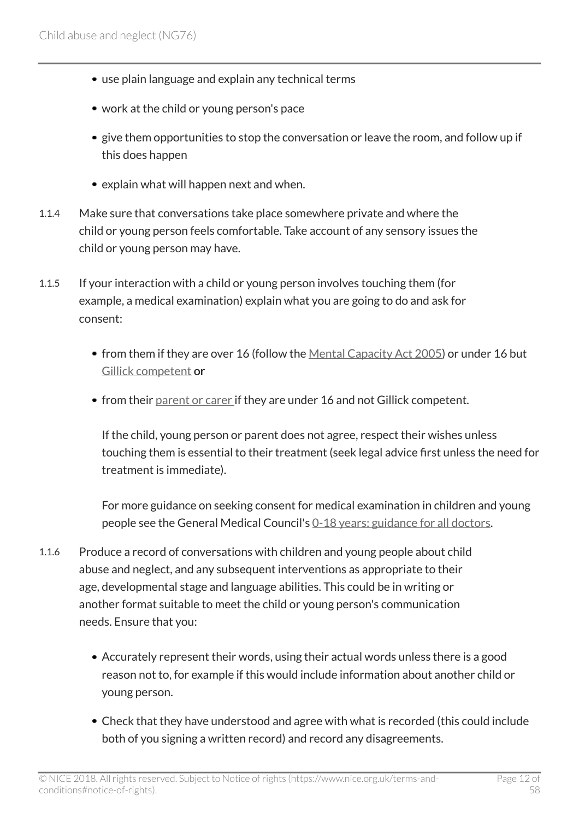- use plain language and explain any technical terms
- work at the child or young person's pace
- give them opportunities to stop the conversation or leave the room, and follow up if this does happen
- explain what will happen next and when.
- 1.1.4 Make sure that conversations take place somewhere private and where the child or young person feels comfortable. Take account of any sensory issues the child or young person may have.
- 1.1.5 If your interaction with a child or young person involves touching them (for example, a medical examination) explain what you are going to do and ask for consent:
	- from them if they are over 16 (follow the [Mental Capacity Act 2005](http://www.legislation.gov.uk/ukpga/2005/9/contents)) or under 16 but [Gillick competent](http://www.gov.uk/government/publications/reference-guide-to-consent-for-examination-or-treatment-second-edition) or
	- from their [parent or carer](http://live-publications.nice.org.uk/terms-used-in-this-guideline#parent-or-carer) if they are under 16 and not Gillick competent.

If the child, young person or parent does not agree, respect their wishes unless touching them is essential to their treatment (seek legal advice first unless the need for treatment is immediate).

For more guidance on seeking consent for medical examination in children and young people see the General Medical Council's [0-18 years: guidance for all doctors](http://www.gmc-uk.org/guidance/ethical_guidance/children_guidance_index.asp).

- 1.1.6 Produce a record of conversations with children and young people about child abuse and neglect, and any subsequent interventions as appropriate to their age, developmental stage and language abilities. This could be in writing or another format suitable to meet the child or young person's communication needs. Ensure that you:
	- Accurately represent their words, using their actual words unless there is a good reason not to, for example if this would include information about another child or young person.
	- Check that they have understood and agree with what is recorded (this could include both of you signing a written record) and record any disagreements.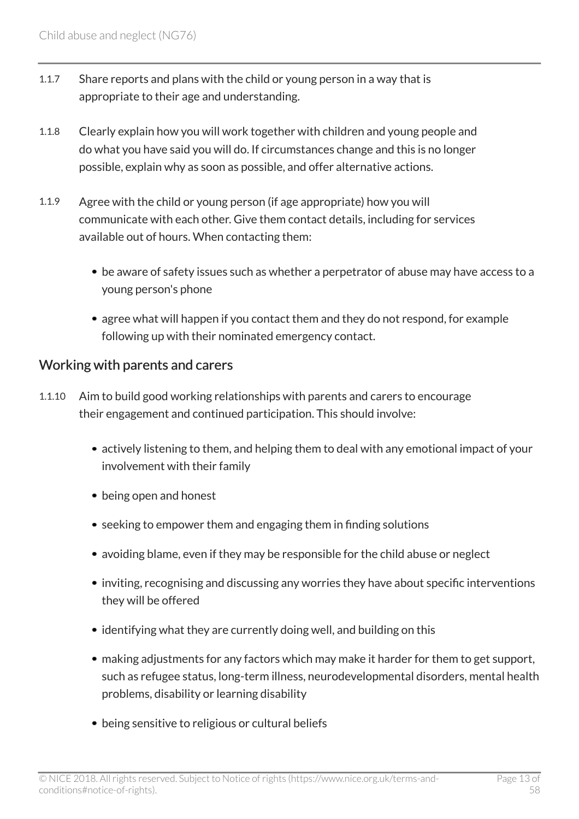- 1.1.7 Share reports and plans with the child or young person in a way that is appropriate to their age and understanding.
- 1.1.8 Clearly explain how you will work together with children and young people and do what you have said you will do. If circumstances change and this is no longer possible, explain why as soon as possible, and offer alternative actions.
- 1.1.9 Agree with the child or young person (if age appropriate) how you will communicate with each other. Give them contact details, including for services available out of hours. When contacting them:
	- be aware of safety issues such as whether a perpetrator of abuse may have access to a young person's phone
	- agree what will happen if you contact them and they do not respond, for example following up with their nominated emergency contact.

#### Working with parents and carers

- 1.1.10 Aim to build good working relationships with parents and carers to encourage their engagement and continued participation. This should involve:
	- actively listening to them, and helping them to deal with any emotional impact of your involvement with their family
	- being open and honest
	- seeking to empower them and engaging them in finding solutions
	- avoiding blame, even if they may be responsible for the child abuse or neglect
	- inviting, recognising and discussing any worries they have about specific interventions they will be offered
	- identifying what they are currently doing well, and building on this
	- making adjustments for any factors which may make it harder for them to get support, such as refugee status, long-term illness, neurodevelopmental disorders, mental health problems, disability or learning disability
	- being sensitive to religious or cultural beliefs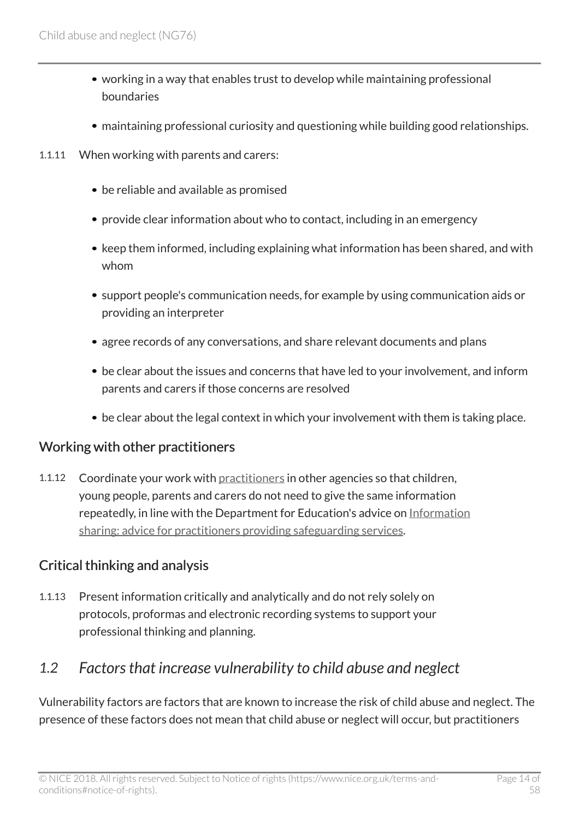- working in a way that enables trust to develop while maintaining professional boundaries
- maintaining professional curiosity and questioning while building good relationships.
- 1.1.11 When working with parents and carers:
	- be reliable and available as promised
	- provide clear information about who to contact, including in an emergency
	- keep them informed, including explaining what information has been shared, and with whom
	- support people's communication needs, for example by using communication aids or providing an interpreter
	- agree records of any conversations, and share relevant documents and plans
	- be clear about the issues and concerns that have led to your involvement, and inform parents and carers if those concerns are resolved
	- be clear about the legal context in which your involvement with them is taking place.

#### Working with other practitioners

1.1.12 Coordinate your work with [practitioners](http://live-publications.nice.org.uk/terms-used-in-this-guideline#practitioner) in other agencies so that children, young people, parents and carers do not need to give the same information repeatedly, in line with the Department for Education's advice on [Information](http://www.gov.uk/government/publications/safeguarding-practitioners-information-sharing-advice) [sharing: advice for practitioners providing safeguarding services](http://www.gov.uk/government/publications/safeguarding-practitioners-information-sharing-advice).

#### Critical thinking and analysis

1.1.13 Present information critically and analytically and do not rely solely on protocols, proformas and electronic recording systems to support your professional thinking and planning.

### <span id="page-13-0"></span>*1.2 Factors that increase vulnerability to child abuse and neglect*

Vulnerability factors are factors that are known to increase the risk of child abuse and neglect. The presence of these factors does not mean that child abuse or neglect will occur, but practitioners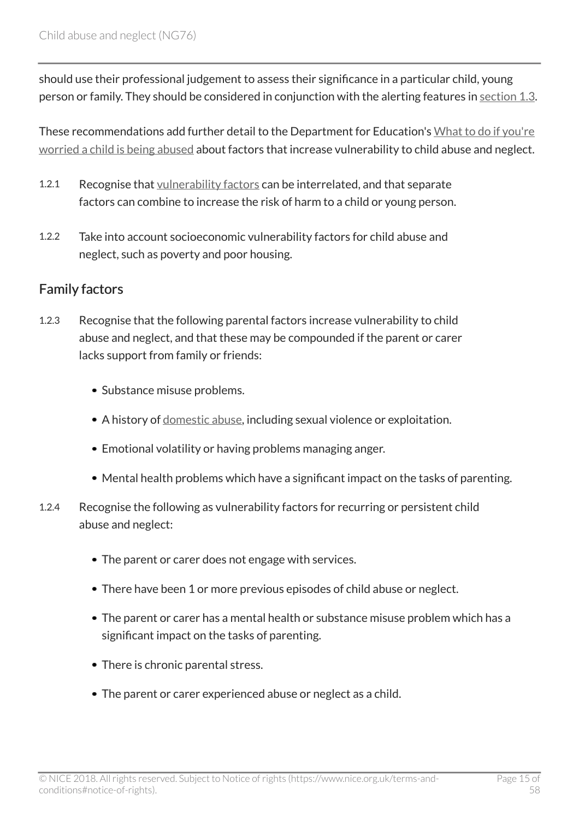should use their professional judgement to assess their significance in a particular child, young person or family. They should be considered in conjunction with the alerting features in [section 1.3.](http://live-publications.nice.org.uk/recommendations#recognising-child-abuse-and-neglect)

These recommendations add further detail to the Department for Education's [What to do if you're](http://www.gov.uk/government/publications/what-to-do-if-youre-worried-a-child-is-being-abused--2) [worried a child is being abused](http://www.gov.uk/government/publications/what-to-do-if-youre-worried-a-child-is-being-abused--2) about factors that increase vulnerability to child abuse and neglect.

- 1.2.1 Recognise that [vulnerability factors](http://live-publications.nice.org.uk/terms-used-in-this-guideline#vulnerability-factor) can be interrelated, and that separate factors can combine to increase the risk of harm to a child or young person.
- 1.2.2 Take into account socioeconomic vulnerability factors for child abuse and neglect, such as poverty and poor housing.

#### Family factors

- 1.2.3 Recognise that the following parental factors increase vulnerability to child abuse and neglect, and that these may be compounded if the parent or carer lacks support from family or friends:
	- Substance misuse problems.
	- A history of [domestic abuse,](http://live-publications.nice.org.uk/terms-used-in-this-guideline#domestic-abuse) including sexual violence or exploitation.
	- Emotional volatility or having problems managing anger.
	- Mental health problems which have a significant impact on the tasks of parenting.
- 1.2.4 Recognise the following as vulnerability factors for recurring or persistent child abuse and neglect:
	- The parent or carer does not engage with services.
	- There have been 1 or more previous episodes of child abuse or neglect.
	- The parent or carer has a mental health or substance misuse problem which has a significant impact on the tasks of parenting.
	- There is chronic parental stress.
	- The parent or carer experienced abuse or neglect as a child.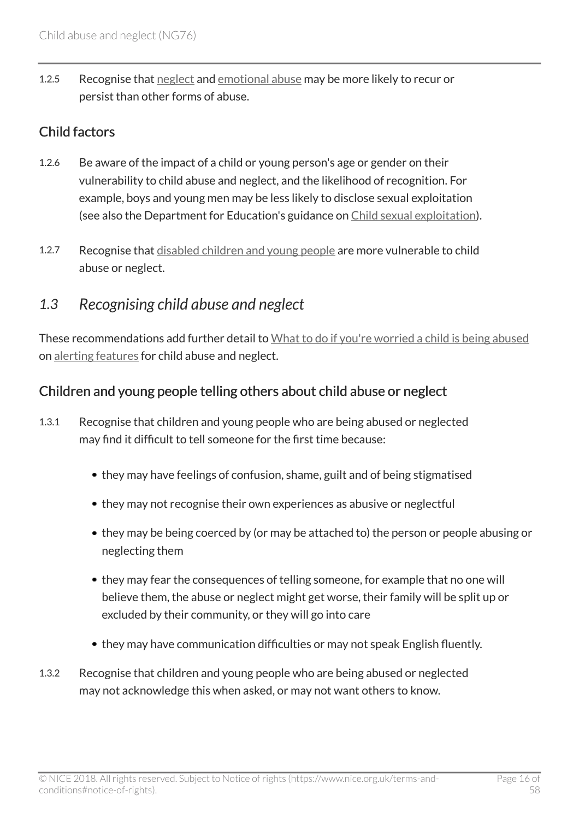1.2.5 Recognise that [neglect](http://live-publications.nice.org.uk/terms-used-in-this-guideline#neglect) and [emotional abuse](http://live-publications.nice.org.uk/terms-used-in-this-guideline#emotional-abuse) may be more likely to recur or persist than other forms of abuse.

#### Child factors

- 1.2.6 Be aware of the impact of a child or young person's age or gender on their vulnerability to child abuse and neglect, and the likelihood of recognition. For example, boys and young men may be less likely to disclose sexual exploitation (see also the Department for Education's guidance on [Child sexual exploitation](http://www.gov.uk/government/publications/child-sexual-exploitation-definition-and-guide-for-practitioners)).
- 1.2.7 Recognise that [disabled children and young people](http://live-publications.nice.org.uk/terms-used-in-this-guideline#disabled-children-and-young-people) are more vulnerable to child abuse or neglect.

### <span id="page-15-0"></span>*1.3 Recognising child abuse and neglect*

These recommendations add further detail to [What to do if you're worried a child is being abused](http://www.gov.uk/government/publications/what-to-do-if-youre-worried-a-child-is-being-abused--2) on [alerting features](http://live-publications.nice.org.uk/terms-used-in-this-guideline#alerting-feature) for child abuse and neglect.

#### Children and young people telling others about child abuse or neglect

- 1.3.1 Recognise that children and young people who are being abused or neglected may find it difficult to tell someone for the first time because:
	- they may have feelings of confusion, shame, guilt and of being stigmatised
	- they may not recognise their own experiences as abusive or neglectful
	- they may be being coerced by (or may be attached to) the person or people abusing or neglecting them
	- they may fear the consequences of telling someone, for example that no one will believe them, the abuse or neglect might get worse, their family will be split up or excluded by their community, or they will go into care
	- they may have communication difficulties or may not speak English fluently.
- 1.3.2 Recognise that children and young people who are being abused or neglected may not acknowledge this when asked, or may not want others to know.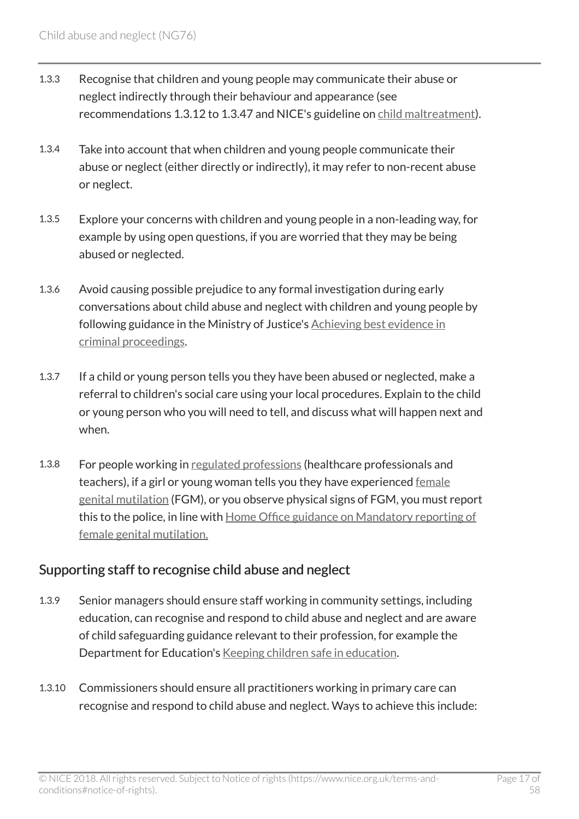- 1.3.3 Recognise that children and young people may communicate their abuse or neglect indirectly through their behaviour and appearance (see recommendations 1.3.12 to 1.3.47 and NICE's guideline on [child maltreatment](http://www.nice.org.uk/guidance/cg89)).
- 1.3.4 Take into account that when children and young people communicate their abuse or neglect (either directly or indirectly), it may refer to non-recent abuse or neglect.
- 1.3.5 Explore your concerns with children and young people in a non-leading way, for example by using open questions, if you are worried that they may be being abused or neglected.
- 1.3.6 Avoid causing possible prejudice to any formal investigation during early conversations about child abuse and neglect with children and young people by following guidance in the Ministry of Justice's [Achieving best evidence in](http://www.cps.gov.uk/publications/prosecution/victims.html) [criminal proceedings.](http://www.cps.gov.uk/publications/prosecution/victims.html)
- 1.3.7 If a child or young person tells you they have been abused or neglected, make a referral to children's social care using your local procedures. Explain to the child or young person who you will need to tell, and discuss what will happen next and when.
- 1.3.8 For people working in [regulated professions](http://live-publications.nice.org.uk/terms-used-in-this-guideline#regulated-profession) (healthcare professionals and teachers), if a girl or young woman tells you they have experienced [female](http://live-publications.nice.org.uk/terms-used-in-this-guideline#female-genital-mutilation) [genital mutilation](http://live-publications.nice.org.uk/terms-used-in-this-guideline#female-genital-mutilation) (FGM), or you observe physical signs of FGM, you must report this to the police, in line with [Home Office guidance on Mandatory reporting of](http://www.gov.uk/government/publications/mandatory-reporting-of-female-genital-mutilation-procedural-information) [female genital mutilation.](http://www.gov.uk/government/publications/mandatory-reporting-of-female-genital-mutilation-procedural-information)

#### Supporting staff to recognise child abuse and neglect

- 1.3.9 Senior managers should ensure staff working in community settings, including education, can recognise and respond to child abuse and neglect and are aware of child safeguarding guidance relevant to their profession, for example the Department for Education's [Keeping children safe in education.](http://www.gov.uk/government/publications/keeping-children-safe-in-education--2)
- 1.3.10 Commissioners should ensure all practitioners working in primary care can recognise and respond to child abuse and neglect. Ways to achieve this include: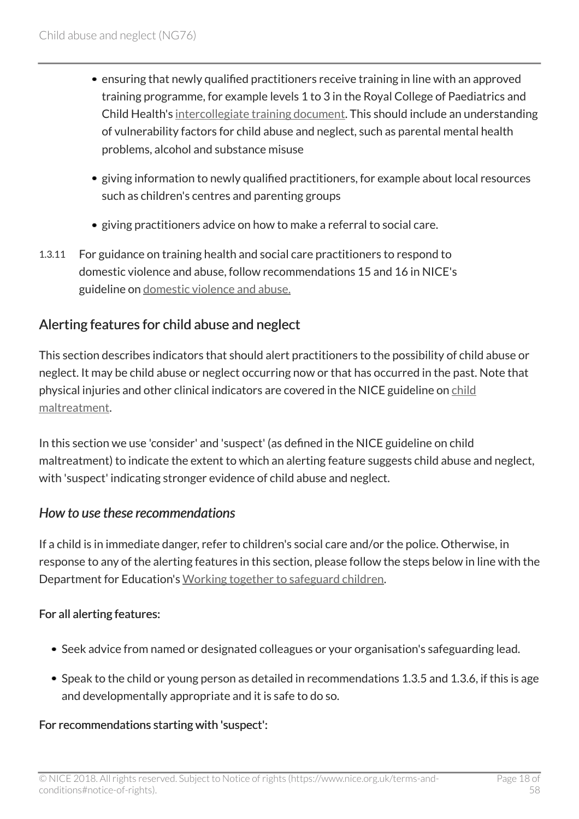- ensuring that newly qualified practitioners receive training in line with an approved training programme, for example levels 1 to 3 in the Royal College of Paediatrics and Child Health's [intercollegiate training document.](http://www.rcoa.ac.uk/document-store/safeguarding-children-and-young-people-roles-and-competences-healthcare-staff-2014) This should include an understanding of vulnerability factors for child abuse and neglect, such as parental mental health problems, alcohol and substance misuse
- giving information to newly qualified practitioners, for example about local resources such as children's centres and parenting groups
- giving practitioners advice on how to make a referral to social care.
- 1.3.11 For guidance on training health and social care practitioners to respond to domestic violence and abuse, follow recommendations 15 and 16 in NICE's guideline on [domestic violence and abuse.](http://www.nice.org.uk/guidance/ph50)

#### Alerting features for child abuse and neglect

This section describes indicators that should alert practitioners to the possibility of child abuse or neglect. It may be child abuse or neglect occurring now or that has occurred in the past. Note that physical injuries and other clinical indicators are covered in the NICE guideline on [child](http://www.nice.org.uk/guidance/cg89) [maltreatment](http://www.nice.org.uk/guidance/cg89).

In this section we use 'consider' and 'suspect' (as defined in the NICE guideline on child maltreatment) to indicate the extent to which an alerting feature suggests child abuse and neglect, with 'suspect' indicating stronger evidence of child abuse and neglect.

#### *How to use these recommendations*

If a child is in immediate danger, refer to children's social care and/or the police. Otherwise, in response to any of the alerting features in this section, please follow the steps below in line with the Department for Education's [Working together to safeguard children.](http://www.gov.uk/government/publications/working-together-to-safeguard-children--2)

#### For all alerting features:

- Seek advice from named or designated colleagues or your organisation's safeguarding lead.
- Speak to the child or young person as detailed in recommendations 1.3.5 and 1.3.6, if this is age and developmentally appropriate and it is safe to do so.

#### For recommendations starting with 'suspect':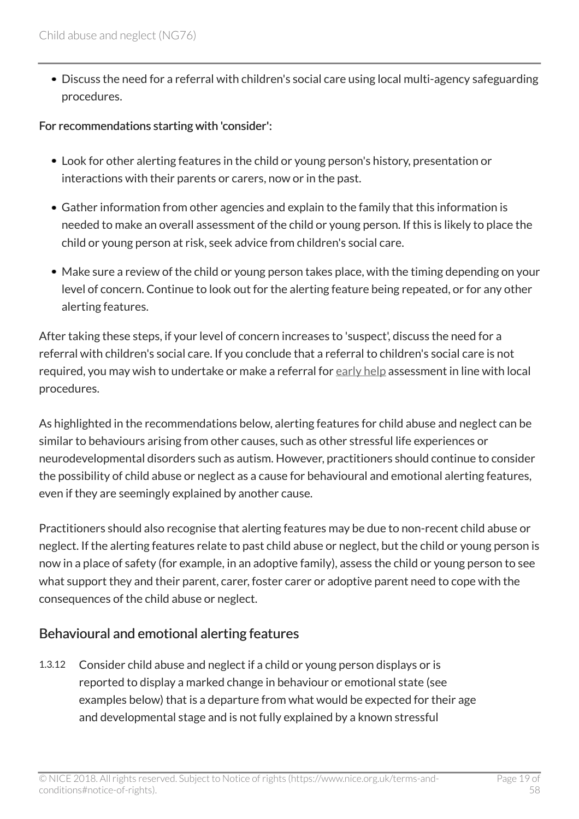Discuss the need for a referral with children's social care using local multi-agency safeguarding procedures.

#### For recommendations starting with 'consider':

- Look for other alerting features in the child or young person's history, presentation or interactions with their parents or carers, now or in the past.
- Gather information from other agencies and explain to the family that this information is needed to make an overall assessment of the child or young person. If this is likely to place the child or young person at risk, seek advice from children's social care.
- Make sure a review of the child or young person takes place, with the timing depending on your level of concern. Continue to look out for the alerting feature being repeated, or for any other alerting features.

After taking these steps, if your level of concern increases to 'suspect', discuss the need for a referral with children's social care. If you conclude that a referral to children's social care is not required, you may wish to undertake or make a referral for [early help](http://live-publications.nice.org.uk/terms-used-in-this-guideline#early-help) assessment in line with local procedures.

As highlighted in the recommendations below, alerting features for child abuse and neglect can be similar to behaviours arising from other causes, such as other stressful life experiences or neurodevelopmental disorders such as autism. However, practitioners should continue to consider the possibility of child abuse or neglect as a cause for behavioural and emotional alerting features, even if they are seemingly explained by another cause.

Practitioners should also recognise that alerting features may be due to non-recent child abuse or neglect. If the alerting features relate to past child abuse or neglect, but the child or young person is now in a place of safety (for example, in an adoptive family), assess the child or young person to see what support they and their parent, carer, foster carer or adoptive parent need to cope with the consequences of the child abuse or neglect.

### Behavioural and emotional alerting features

1.3.12 Consider child abuse and neglect if a child or young person displays or is reported to display a marked change in behaviour or emotional state (see examples below) that is a departure from what would be expected for their age and developmental stage and is not fully explained by a known stressful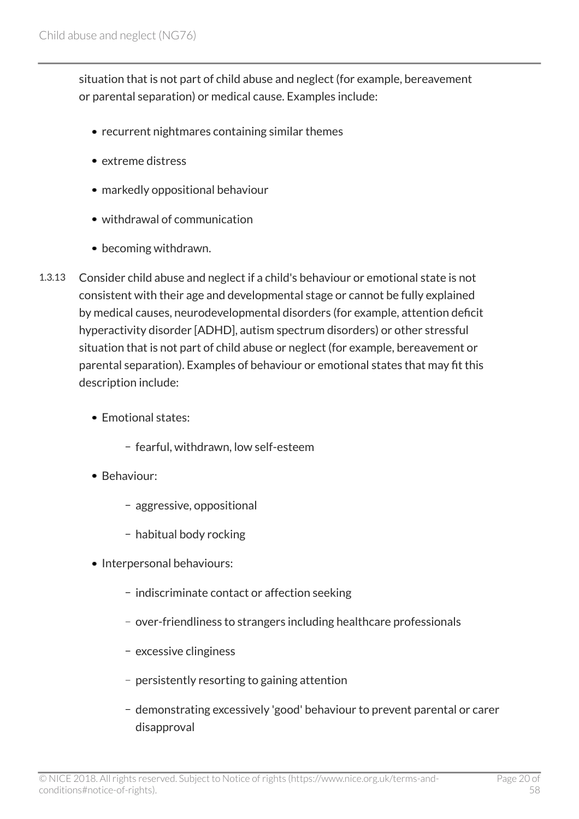situation that is not part of child abuse and neglect (for example, bereavement or parental separation) or medical cause. Examples include:

- recurrent nightmares containing similar themes
- extreme distress
- markedly oppositional behaviour
- withdrawal of communication
- becoming withdrawn.
- 1.3.13 Consider child abuse and neglect if a child's behaviour or emotional state is not consistent with their age and developmental stage or cannot be fully explained by medical causes, neurodevelopmental disorders (for example, attention deficit hyperactivity disorder [ADHD], autism spectrum disorders) or other stressful situation that is not part of child abuse or neglect (for example, bereavement or parental separation). Examples of behaviour or emotional states that may fit this description include:
	- Emotional states:
		- fearful, withdrawn, low self-esteem
	- Behaviour:
		- aggressive, oppositional
		- habitual body rocking
	- Interpersonal behaviours:
		- indiscriminate contact or affection seeking
		- over-friendliness to strangers including healthcare professionals
		- excessive clinginess
		- persistently resorting to gaining attention
		- demonstrating excessively 'good' behaviour to prevent parental or carer disapproval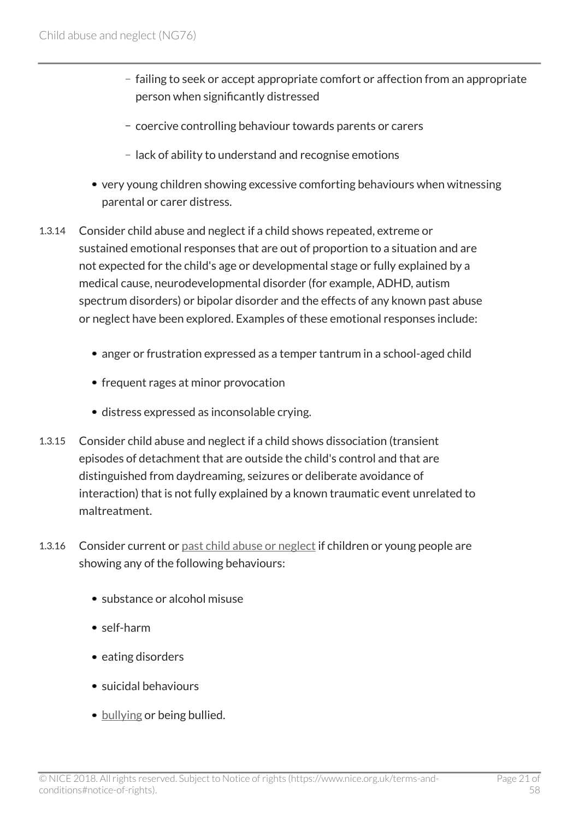- failing to seek or accept appropriate comfort or affection from an appropriate person when significantly distressed
- coercive controlling behaviour towards parents or carers
- lack of ability to understand and recognise emotions
- very young children showing excessive comforting behaviours when witnessing parental or carer distress.
- 1.3.14 Consider child abuse and neglect if a child shows repeated, extreme or sustained emotional responses that are out of proportion to a situation and are not expected for the child's age or developmental stage or fully explained by a medical cause, neurodevelopmental disorder (for example, ADHD, autism spectrum disorders) or bipolar disorder and the effects of any known past abuse or neglect have been explored. Examples of these emotional responses include:
	- anger or frustration expressed as a temper tantrum in a school-aged child
	- frequent rages at minor provocation
	- distress expressed as inconsolable crying.
- 1.3.15 Consider child abuse and neglect if a child shows dissociation (transient episodes of detachment that are outside the child's control and that are distinguished from daydreaming, seizures or deliberate avoidance of interaction) that is not fully explained by a known traumatic event unrelated to maltreatment.
- 1.3.16 Consider current or [past child abuse or neglect](http://live-publications.nice.org.uk/terms-used-in-this-guideline#past-child-abuse-or-neglect) if children or young people are showing any of the following behaviours:
	- substance or alcohol misuse
	- self-harm
	- eating disorders
	- suicidal behaviours
	- [bullying](http://live-publications.nice.org.uk/terms-used-in-this-guideline#bullying) or being bullied.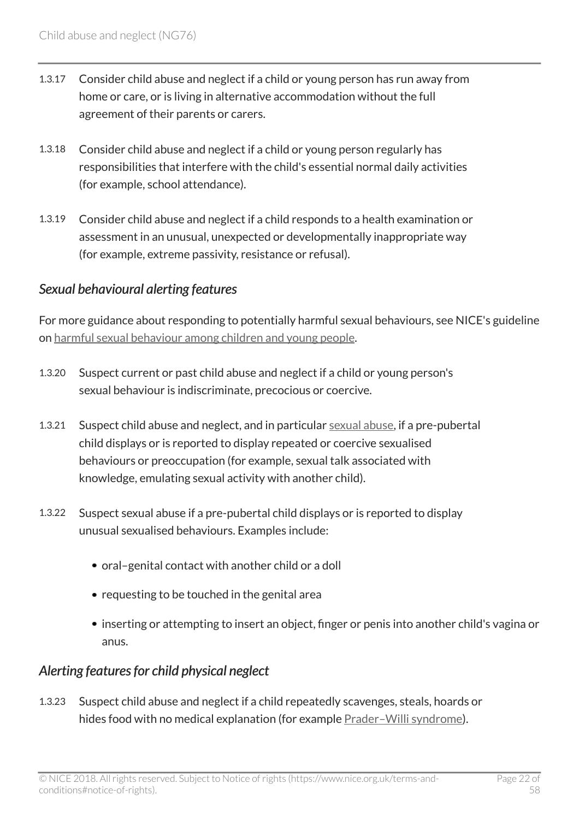- 1.3.17 Consider child abuse and neglect if a child or young person has run away from home or care, or is living in alternative accommodation without the full agreement of their parents or carers.
- 1.3.18 Consider child abuse and neglect if a child or young person regularly has responsibilities that interfere with the child's essential normal daily activities (for example, school attendance).
- 1.3.19 Consider child abuse and neglect if a child responds to a health examination or assessment in an unusual, unexpected or developmentally inappropriate way (for example, extreme passivity, resistance or refusal).

#### *Sexual behavioural alerting features*

For more guidance about responding to potentially harmful sexual behaviours, see NICE's guideline on [harmful sexual behaviour among children and young people.](http://www.nice.org.uk/guidance/ng55)

- 1.3.20 Suspect current or past child abuse and neglect if a child or young person's sexual behaviour is indiscriminate, precocious or coercive.
- 1.3.21 Suspect child abuse and neglect, and in particular [sexual abuse](http://live-publications.nice.org.uk/terms-used-in-this-guideline#sexual-abuse), if a pre-pubertal child displays or is reported to display repeated or coercive sexualised behaviours or preoccupation (for example, sexual talk associated with knowledge, emulating sexual activity with another child).
- 1.3.22 Suspect sexual abuse if a pre-pubertal child displays or is reported to display unusual sexualised behaviours. Examples include:
	- oral–genital contact with another child or a doll
	- requesting to be touched in the genital area
	- inserting or attempting to insert an object, finger or penis into another child's vagina or anus.

#### *Alerting features for child physical neglect*

1.3.23 Suspect child abuse and neglect if a child repeatedly scavenges, steals, hoards or hides food with no medical explanation (for example [Prader–Willi syndrome](http://live-publications.nice.org.uk/terms-used-in-this-guideline#prader-willi-syndrome)).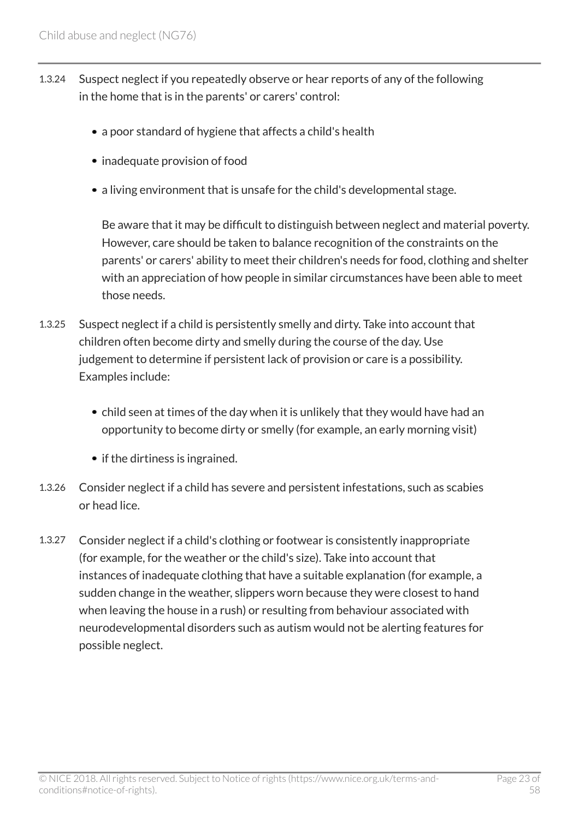- 1.3.24 Suspect neglect if you repeatedly observe or hear reports of any of the following in the home that is in the parents' or carers' control:
	- a poor standard of hygiene that affects a child's health
	- inadequate provision of food
	- a living environment that is unsafe for the child's developmental stage.

Be aware that it may be difficult to distinguish between neglect and material poverty. However, care should be taken to balance recognition of the constraints on the parents' or carers' ability to meet their children's needs for food, clothing and shelter with an appreciation of how people in similar circumstances have been able to meet those needs.

- 1.3.25 Suspect neglect if a child is persistently smelly and dirty. Take into account that children often become dirty and smelly during the course of the day. Use judgement to determine if persistent lack of provision or care is a possibility. Examples include:
	- child seen at times of the day when it is unlikely that they would have had an opportunity to become dirty or smelly (for example, an early morning visit)
	- if the dirtiness is ingrained.
- 1.3.26 Consider neglect if a child has severe and persistent infestations, such as scabies or head lice.
- 1.3.27 Consider neglect if a child's clothing or footwear is consistently inappropriate (for example, for the weather or the child's size). Take into account that instances of inadequate clothing that have a suitable explanation (for example, a sudden change in the weather, slippers worn because they were closest to hand when leaving the house in a rush) or resulting from behaviour associated with neurodevelopmental disorders such as autism would not be alerting features for possible neglect.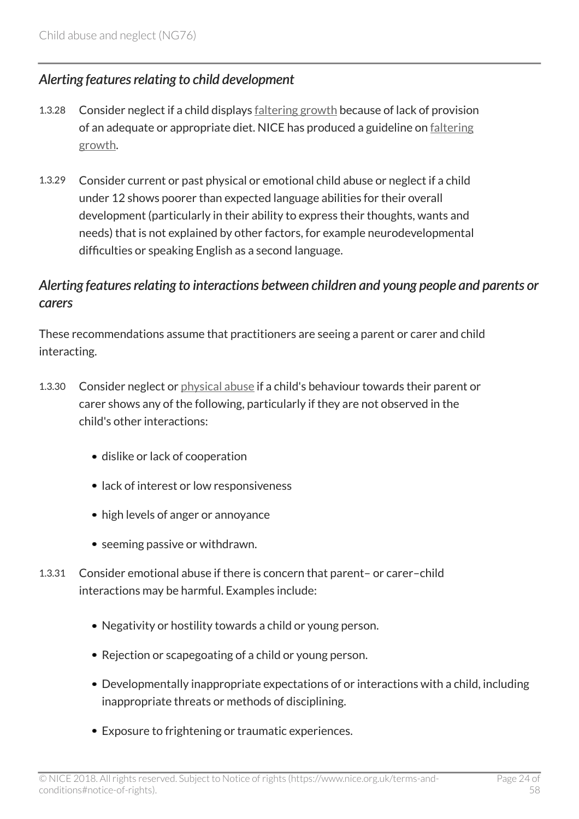#### *Alerting features relating to child development*

- 1.3.28 Consider neglect if a child displays [faltering growth](http://live-publications.nice.org.uk/terms-used-in-this-guideline#faltering-growth) because of lack of provision of an adequate or appropriate diet. NICE has produced a guideline on [faltering](http://www.nice.org.uk/guidance/ng75) [growth](http://www.nice.org.uk/guidance/ng75).
- 1.3.29 Consider current or past physical or emotional child abuse or neglect if a child under 12 shows poorer than expected language abilities for their overall development (particularly in their ability to express their thoughts, wants and needs) that is not explained by other factors, for example neurodevelopmental difficulties or speaking English as a second language.

#### *Alerting features relating to interactions between children and young people and parents or carers*

These recommendations assume that practitioners are seeing a parent or carer and child interacting.

- 1.3.30 Consider neglect or [physical abuse](http://live-publications.nice.org.uk/terms-used-in-this-guideline#physical-abuse) if a child's behaviour towards their parent or carer shows any of the following, particularly if they are not observed in the child's other interactions:
	- dislike or lack of cooperation
	- lack of interest or low responsiveness
	- high levels of anger or annoyance
	- seeming passive or withdrawn.
- 1.3.31 Consider emotional abuse if there is concern that parent– or carer–child interactions may be harmful. Examples include:
	- Negativity or hostility towards a child or young person.
	- Rejection or scapegoating of a child or young person.
	- Developmentally inappropriate expectations of or interactions with a child, including inappropriate threats or methods of disciplining.
	- Exposure to frightening or traumatic experiences.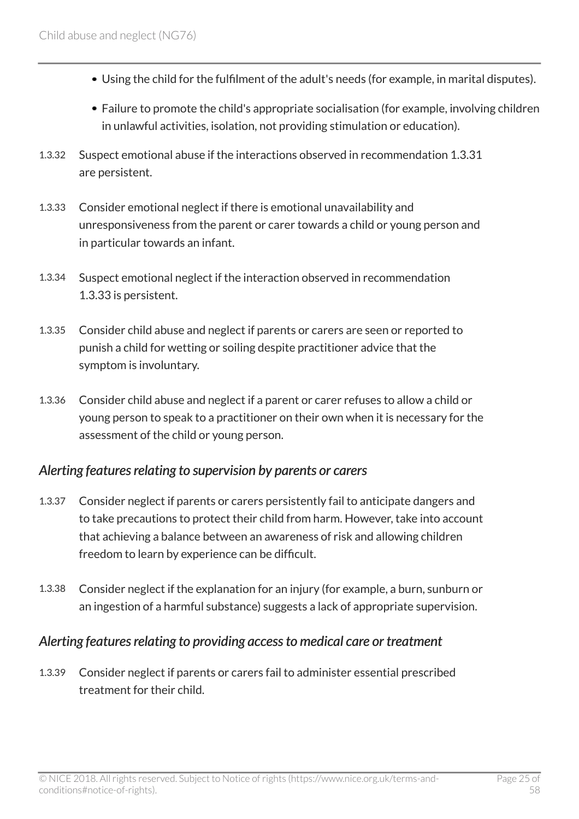- Using the child for the fulfilment of the adult's needs (for example, in marital disputes).
- Failure to promote the child's appropriate socialisation (for example, involving children in unlawful activities, isolation, not providing stimulation or education).
- 1.3.32 Suspect emotional abuse if the interactions observed in recommendation 1.3.31 are persistent.
- 1.3.33 Consider emotional neglect if there is emotional unavailability and unresponsiveness from the parent or carer towards a child or young person and in particular towards an infant.
- 1.3.34 Suspect emotional neglect if the interaction observed in recommendation 1.3.33 is persistent.
- 1.3.35 Consider child abuse and neglect if parents or carers are seen or reported to punish a child for wetting or soiling despite practitioner advice that the symptom is involuntary.
- 1.3.36 Consider child abuse and neglect if a parent or carer refuses to allow a child or young person to speak to a practitioner on their own when it is necessary for the assessment of the child or young person.

#### *Alerting features relating to supervision by parents or carers*

- 1.3.37 Consider neglect if parents or carers persistently fail to anticipate dangers and to take precautions to protect their child from harm. However, take into account that achieving a balance between an awareness of risk and allowing children freedom to learn by experience can be difficult.
- 1.3.38 Consider neglect if the explanation for an injury (for example, a burn, sunburn or an ingestion of a harmful substance) suggests a lack of appropriate supervision.

#### *Alerting features relating to providing access to medical care or treatment*

1.3.39 Consider neglect if parents or carers fail to administer essential prescribed treatment for their child.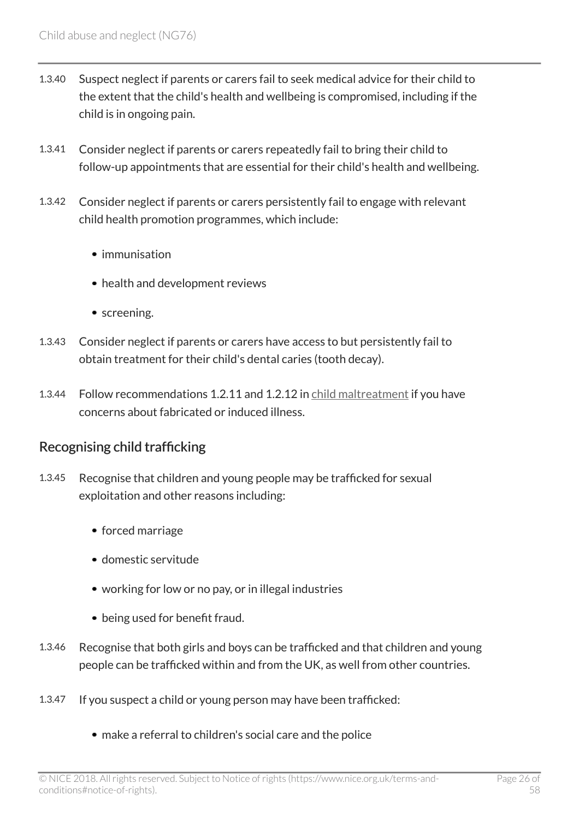- 1.3.40 Suspect neglect if parents or carers fail to seek medical advice for their child to the extent that the child's health and wellbeing is compromised, including if the child is in ongoing pain.
- 1.3.41 Consider neglect if parents or carers repeatedly fail to bring their child to follow-up appointments that are essential for their child's health and wellbeing.
- 1.3.42 Consider neglect if parents or carers persistently fail to engage with relevant child health promotion programmes, which include:
	- $\bullet$  immunisation
	- health and development reviews
	- screening.
- 1.3.43 Consider neglect if parents or carers have access to but persistently fail to obtain treatment for their child's dental caries (tooth decay).
- 1.3.44 Follow recommendations 1.2.11 and 1.2.12 in [child maltreatment](http://www.nice.org.uk/guidance/cg89) if you have concerns about fabricated or induced illness.

### Recognising child trafficking

- 1.3.45 Recognise that children and young people may be trafficked for sexual exploitation and other reasons including:
	- forced marriage
	- domestic servitude
	- working for low or no pay, or in illegal industries
	- being used for benefit fraud.
- 1.3.46 Recognise that both girls and boys can be trafficked and that children and young people can be trafficked within and from the UK, as well from other countries.
- 1.3.47 If you suspect a child or young person may have been trafficked:
	- make a referral to children's social care and the police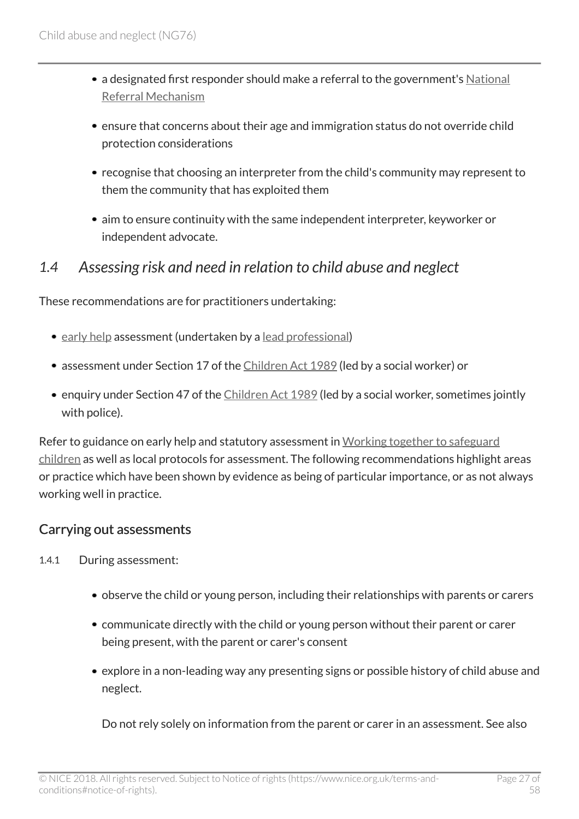- a designated first responder should make a referral to the government's [National](http://www.gov.uk/government/publications/human-trafficking-victims-referral-and-assessment-forms/guidance-on-the-national-referral-mechanism-for-potential-adult-victims-of-modern-slavery-england-and-wales) [Referral Mechanism](http://www.gov.uk/government/publications/human-trafficking-victims-referral-and-assessment-forms/guidance-on-the-national-referral-mechanism-for-potential-adult-victims-of-modern-slavery-england-and-wales)
- ensure that concerns about their age and immigration status do not override child protection considerations
- recognise that choosing an interpreter from the child's community may represent to them the community that has exploited them
- aim to ensure continuity with the same independent interpreter, keyworker or independent advocate.

### <span id="page-26-0"></span>*1.4 Assessing risk and need in relation to child abuse and neglect*

These recommendations are for practitioners undertaking:

- [early help](http://live-publications.nice.org.uk/terms-used-in-this-guideline#early-help) assessment (undertaken by a [lead professional\)](http://live-publications.nice.org.uk/terms-used-in-this-guideline#lead-professional)
- assessment under Section 17 of the [Children Act 1989](http://www.legislation.gov.uk/ukpga/1989/41/section/17) (led by a social worker) or
- enquiry under Section 47 of the [Children Act 1989](http://www.legislation.gov.uk/ukpga/1989/41/section/47) (led by a social worker, sometimes jointly with police).

Refer to guidance on early help and statutory assessment in [Working together to safeguard](http://www.gov.uk/government/publications/working-together-to-safeguard-children--2) [children](http://www.gov.uk/government/publications/working-together-to-safeguard-children--2) as well as local protocols for assessment. The following recommendations highlight areas or practice which have been shown by evidence as being of particular importance, or as not always working well in practice.

#### Carrying out assessments

- 1.4.1 During assessment:
	- observe the child or young person, including their relationships with parents or carers
	- communicate directly with the child or young person without their parent or carer being present, with the parent or carer's consent
	- explore in a non-leading way any presenting signs or possible history of child abuse and neglect.

Do not rely solely on information from the parent or carer in an assessment. See also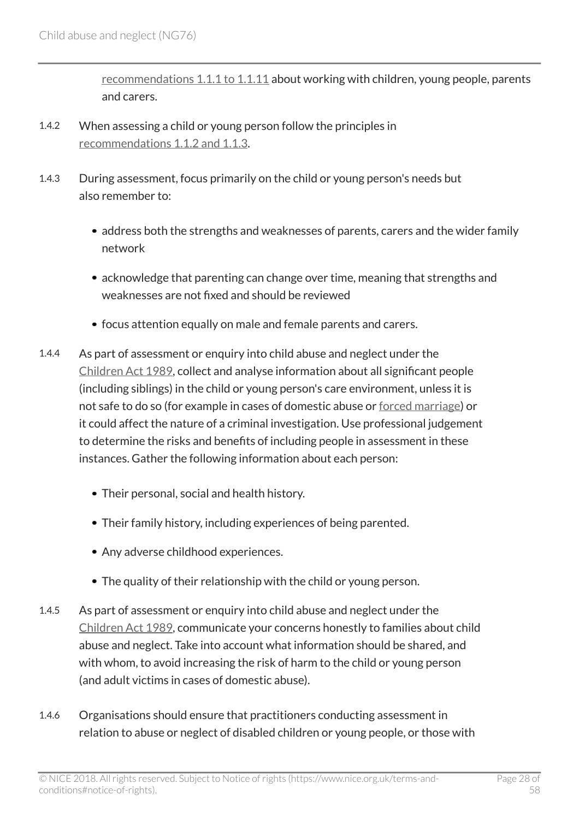[recommendations 1.1.1 to 1.1.11](http://live-publications.nice.org.uk/recommendations#working-with-children-and-young-people) about working with children, young people, parents and carers.

- 1.4.2 When assessing a child or young person follow the principles in [recommendations 1.1.2 and 1.1.3.](http://live-publications.nice.org.uk/recommendations#working-with-children-and-young-people)
- 1.4.3 During assessment, focus primarily on the child or young person's needs but also remember to:
	- address both the strengths and weaknesses of parents, carers and the wider family network
	- acknowledge that parenting can change over time, meaning that strengths and weaknesses are not fixed and should be reviewed
	- focus attention equally on male and female parents and carers.
- 1.4.4 As part of assessment or enquiry into child abuse and neglect under the [Children Act 1989,](http://www.legislation.gov.uk/ukpga/1989/41/contents) collect and analyse information about all significant people (including siblings) in the child or young person's care environment, unless it is not safe to do so (for example in cases of domestic abuse or [forced marriage](http://live-publications.nice.org.uk/terms-used-in-this-guideline#forced-marriage)) or it could affect the nature of a criminal investigation. Use professional judgement to determine the risks and benefits of including people in assessment in these instances. Gather the following information about each person:
	- Their personal, social and health history.
	- Their family history, including experiences of being parented.
	- Any adverse childhood experiences.
	- The quality of their relationship with the child or young person.
- 1.4.5 As part of assessment or enquiry into child abuse and neglect under the [Children Act 1989,](http://www.legislation.gov.uk/ukpga/1989/41/contents) communicate your concerns honestly to families about child abuse and neglect. Take into account what information should be shared, and with whom, to avoid increasing the risk of harm to the child or young person (and adult victims in cases of domestic abuse).
- 1.4.6 Organisations should ensure that practitioners conducting assessment in relation to abuse or neglect of disabled children or young people, or those with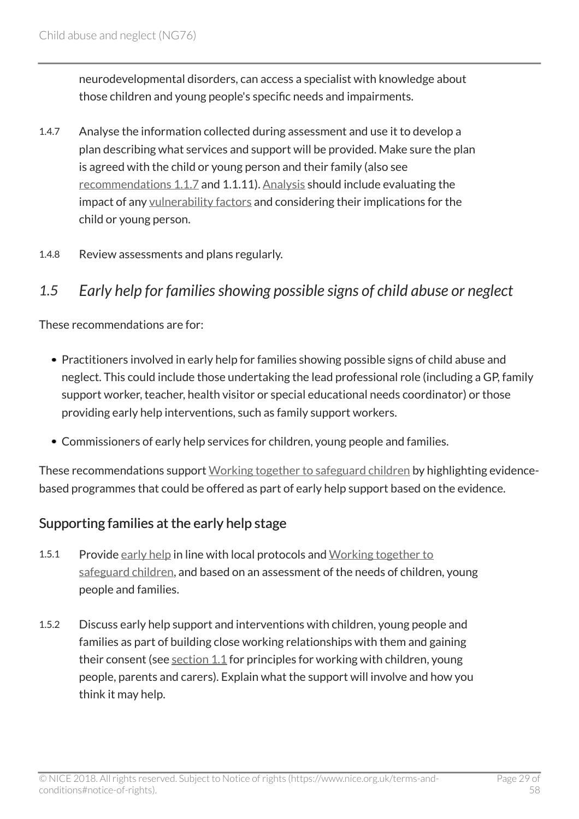neurodevelopmental disorders, can access a specialist with knowledge about those children and young people's specific needs and impairments.

- 1.4.7 Analyse the information collected during assessment and use it to develop a plan describing what services and support will be provided. Make sure the plan is agreed with the child or young person and their family (also see [recommendations 1.1.7](http://live-publications.nice.org.uk/recommendations#working-with-children-and-young-people) and 1.1.11). [Analysis](http://live-publications.nice.org.uk/terms-used-in-this-guideline#analysis) should include evaluating the impact of any [vulnerability factors](http://live-publications.nice.org.uk/terms-used-in-this-guideline#vulnerability-factor) and considering their implications for the child or young person.
- 1.4.8 Review assessments and plans regularly.

# <span id="page-28-0"></span>*1.5 Early help for families showing possible signs of child abuse or neglect*

These recommendations are for:

- Practitioners involved in early help for families showing possible signs of child abuse and neglect. This could include those undertaking the lead professional role (including a GP, family support worker, teacher, health visitor or special educational needs coordinator) or those providing early help interventions, such as family support workers.
- Commissioners of early help services for children, young people and families.

These recommendations support [Working together to safeguard children](http://www.gov.uk/government/publications/working-together-to-safeguard-children--2) by highlighting evidencebased programmes that could be offered as part of early help support based on the evidence.

#### Supporting families at the early help stage

- 1.5.1 Provide [early help](http://live-publications.nice.org.uk/terms-used-in-this-guideline#early-help) in line with local protocols and [Working together to](http://www.gov.uk/government/publications/working-together-to-safeguard-children--2) [safeguard children,](http://www.gov.uk/government/publications/working-together-to-safeguard-children--2) and based on an assessment of the needs of children, young people and families.
- 1.5.2 Discuss early help support and interventions with children, young people and families as part of building close working relationships with them and gaining their consent (see [section 1.1](http://live-publications.nice.org.uk/recommendations#working-with-children-and-young-people) for principles for working with children, young people, parents and carers). Explain what the support will involve and how you think it may help.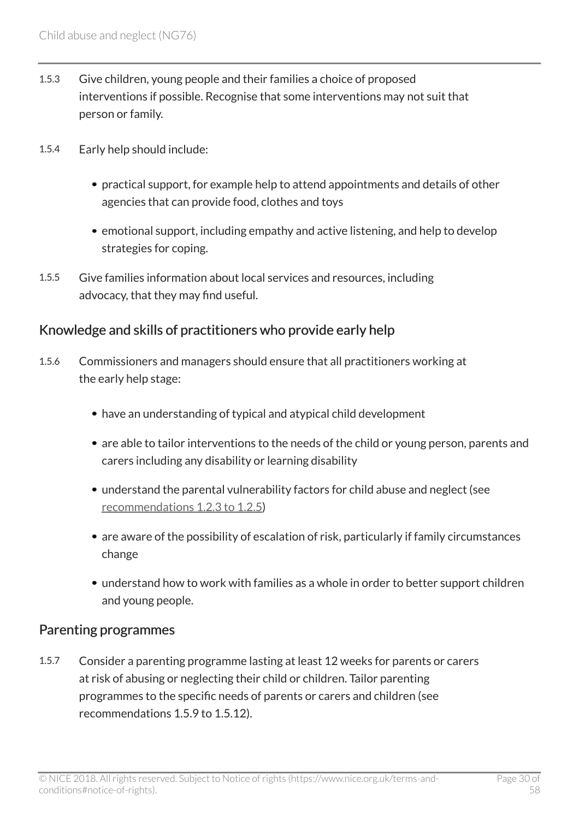- 1.5.3 Give children, young people and their families a choice of proposed interventions if possible. Recognise that some interventions may not suit that person or family.
- 1.5.4 Early help should include:
	- practical support, for example help to attend appointments and details of other agencies that can provide food, clothes and toys
	- emotional support, including empathy and active listening, and help to develop strategies for coping.
- 1.5.5 Give families information about local services and resources, including advocacy, that they may find useful.

#### Knowledge and skills of practitioners who provide early help

- 1.5.6 Commissioners and managers should ensure that all practitioners working at the early help stage:
	- have an understanding of typical and atypical child development
	- are able to tailor interventions to the needs of the child or young person, parents and carers including any disability or learning disability
	- understand the parental vulnerability factors for child abuse and neglect (see [recommendations 1.2.3 to 1.2.5\)](http://live-publications.nice.org.uk/recommendations#family-factors)
	- are aware of the possibility of escalation of risk, particularly if family circumstances change
	- understand how to work with families as a whole in order to better support children and young people.

#### Parenting programmes

1.5.7 Consider a parenting programme lasting at least 12 weeks for parents or carers at risk of abusing or neglecting their child or children. Tailor parenting programmes to the specific needs of parents or carers and children (see recommendations 1.5.9 to 1.5.12).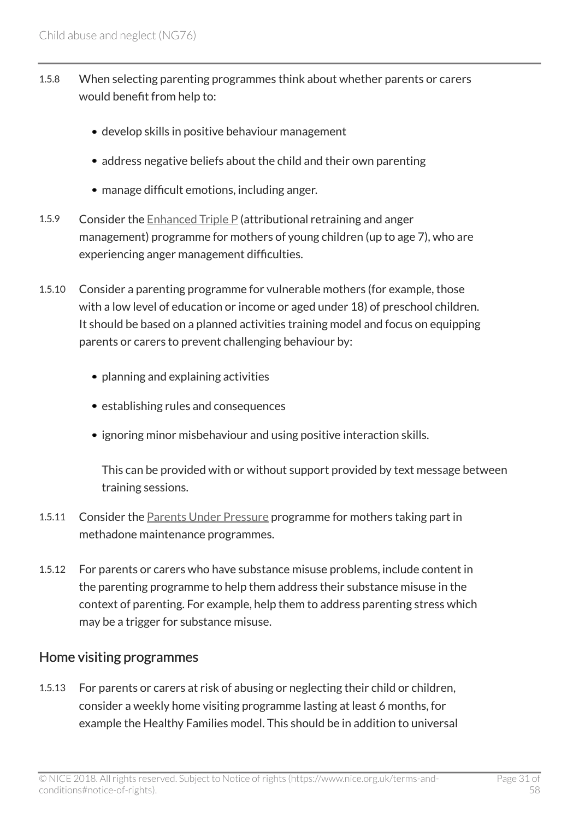- 1.5.8 When selecting parenting programmes think about whether parents or carers would benefit from help to:
	- develop skills in positive behaviour management
	- address negative beliefs about the child and their own parenting
	- manage difficult emotions, including anger.
- 1.5.9 Consider the [Enhanced Triple P](http://www.triplep.net/glo-en/find-out-about-triple-p/) (attributional retraining and anger management) programme for mothers of young children (up to age 7), who are experiencing anger management difficulties.
- 1.5.10 Consider a parenting programme for vulnerable mothers (for example, those with a low level of education or income or aged under 18) of preschool children. It should be based on a planned activities training model and focus on equipping parents or carers to prevent challenging behaviour by:
	- planning and explaining activities
	- establishing rules and consequences
	- ignoring minor misbehaviour and using positive interaction skills.

This can be provided with or without support provided by text message between training sessions.

- 1.5.11 Consider the [Parents Under Pressure](http://www.nspcc.org.uk/services-and-resources/services-for-children-and-families/parents-under-pressure/parents-under-pressure---referrals/) programme for mothers taking part in methadone maintenance programmes.
- 1.5.12 For parents or carers who have substance misuse problems, include content in the parenting programme to help them address their substance misuse in the context of parenting. For example, help them to address parenting stress which may be a trigger for substance misuse.

#### Home visiting programmes

1.5.13 For parents or carers at risk of abusing or neglecting their child or children, consider a weekly home visiting programme lasting at least 6 months, for example the Healthy Families model. This should be in addition to universal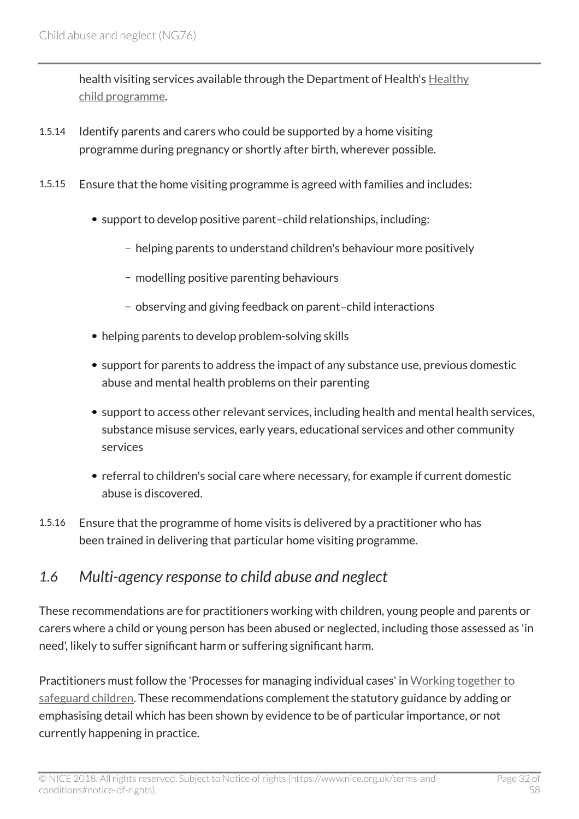health visiting services available through the Department of Health's [Healthy](http://www.gov.uk/government/publications/healthy-child-programme-pregnancy-and-the-first-5-years-of-life) [child programme.](http://www.gov.uk/government/publications/healthy-child-programme-pregnancy-and-the-first-5-years-of-life)

- 1.5.14 Identify parents and carers who could be supported by a home visiting programme during pregnancy or shortly after birth, wherever possible.
- 1.5.15 Ensure that the home visiting programme is agreed with families and includes:
	- support to develop positive parent-child relationships, including:
		- helping parents to understand children's behaviour more positively
		- modelling positive parenting behaviours
		- observing and giving feedback on parent–child interactions
	- helping parents to develop problem-solving skills
	- support for parents to address the impact of any substance use, previous domestic abuse and mental health problems on their parenting
	- support to access other relevant services, including health and mental health services, substance misuse services, early years, educational services and other community services
	- referral to children's social care where necessary, for example if current domestic abuse is discovered.
- 1.5.16 Ensure that the programme of home visits is delivered by a practitioner who has been trained in delivering that particular home visiting programme.

### <span id="page-31-0"></span>*1.6 Multi-agency response to child abuse and neglect*

These recommendations are for practitioners working with children, young people and parents or carers where a child or young person has been abused or neglected, including those assessed as 'in need', likely to suffer significant harm or suffering significant harm.

Practitioners must follow the 'Processes for managing individual cases' in [Working together to](http://www.gov.uk/government/publications/working-together-to-safeguard-children--2) [safeguard children](http://www.gov.uk/government/publications/working-together-to-safeguard-children--2). These recommendations complement the statutory guidance by adding or emphasising detail which has been shown by evidence to be of particular importance, or not currently happening in practice.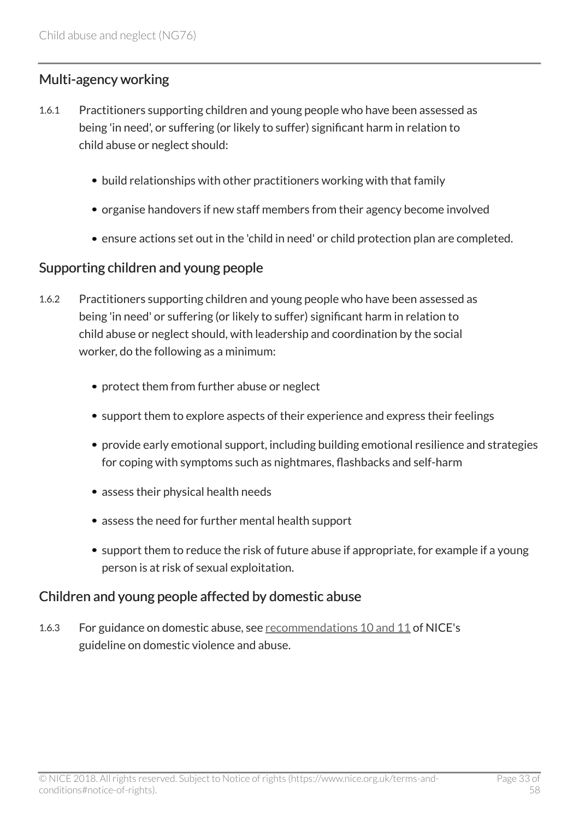#### Multi-agency working

- 1.6.1 Practitioners supporting children and young people who have been assessed as being 'in need', or suffering (or likely to suffer) significant harm in relation to child abuse or neglect should:
	- build relationships with other practitioners working with that family
	- organise handovers if new staff members from their agency become involved
	- ensure actions set out in the 'child in need' or child protection plan are completed.

#### Supporting children and young people

- 1.6.2 Practitioners supporting children and young people who have been assessed as being 'in need' or suffering (or likely to suffer) significant harm in relation to child abuse or neglect should, with leadership and coordination by the social worker, do the following as a minimum:
	- protect them from further abuse or neglect
	- support them to explore aspects of their experience and express their feelings
	- provide early emotional support, including building emotional resilience and strategies for coping with symptoms such as nightmares, flashbacks and self-harm
	- assess their physical health needs
	- assess the need for further mental health support
	- support them to reduce the risk of future abuse if appropriate, for example if a young person is at risk of sexual exploitation.

#### Children and young people affected by domestic abuse

1.6.3 For guidance on domestic abuse, see [recommendations 10 and 11](http://www.nice.org.uk/guidance/ph50/chapter/1-Recommendations#recommendation-10-identify-and-where-necessary-refer-children-and-young-people-affected-by) of NICE's guideline on domestic violence and abuse.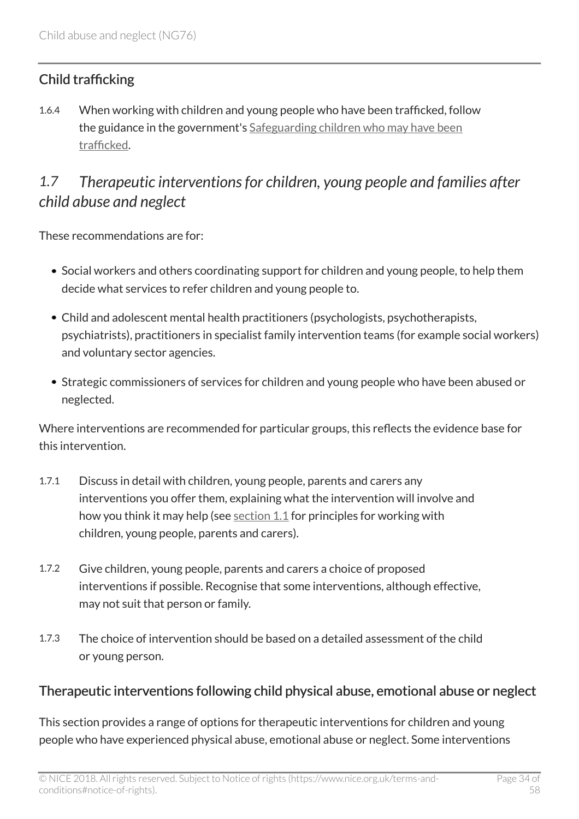### Child trafficking

1.6.4 When working with children and young people who have been trafficked, follow the guidance in the government's [Safeguarding children who may have been](http://www.gov.uk/government/publications/safeguarding-children-who-may-have-been-trafficked-practice-guidance) [trafficked.](http://www.gov.uk/government/publications/safeguarding-children-who-may-have-been-trafficked-practice-guidance)

# <span id="page-33-0"></span>*1.7 Therapeutic interventions for children, young people and families after child abuse and neglect*

These recommendations are for:

- Social workers and others coordinating support for children and young people, to help them decide what services to refer children and young people to.
- Child and adolescent mental health practitioners (psychologists, psychotherapists, psychiatrists), practitioners in specialist family intervention teams (for example social workers) and voluntary sector agencies.
- Strategic commissioners of services for children and young people who have been abused or neglected.

Where interventions are recommended for particular groups, this reflects the evidence base for this intervention.

- 1.7.1 Discuss in detail with children, young people, parents and carers any interventions you offer them, explaining what the intervention will involve and how you think it may help (see [section 1.1](http://live-publications.nice.org.uk/recommendations#working-with-children-and-young-people) for principles for working with children, young people, parents and carers).
- 1.7.2 Give children, young people, parents and carers a choice of proposed interventions if possible. Recognise that some interventions, although effective, may not suit that person or family.
- 1.7.3 The choice of intervention should be based on a detailed assessment of the child or young person.

### Therapeutic interventions following child physical abuse, emotional abuse or neglect

This section provides a range of options for therapeutic interventions for children and young people who have experienced physical abuse, emotional abuse or neglect. Some interventions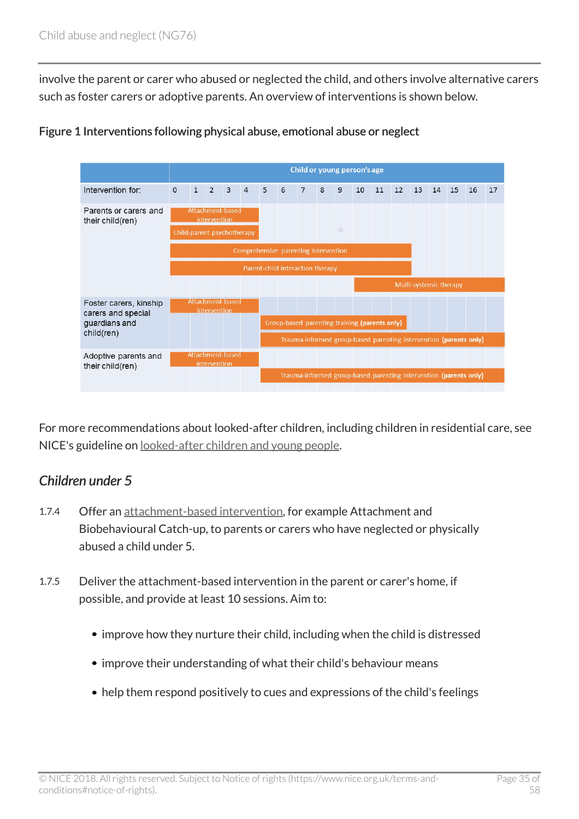involve the parent or carer who abused or neglected the child, and others involve alternative carers such as foster carers or adoptive parents. An overview of interventions is shown below.



Figure 1 Interventions following physical abuse, emotional abuse or neglect

For more recommendations about looked-after children, including children in residential care, see NICE's guideline on [looked-after children and young people.](http://www.nice.org.uk/guidance/ph28)

#### *Children under 5*

- 1.7.4 Offer an [attachment-based intervention,](http://live-publications.nice.org.uk/terms-used-in-this-guideline#attachment-based-intervention) for example Attachment and Biobehavioural Catch-up, to parents or carers who have neglected or physically abused a child under 5.
- 1.7.5 Deliver the attachment-based intervention in the parent or carer's home, if possible, and provide at least 10 sessions. Aim to:
	- improve how they nurture their child, including when the child is distressed
	- improve their understanding of what their child's behaviour means
	- help them respond positively to cues and expressions of the child's feelings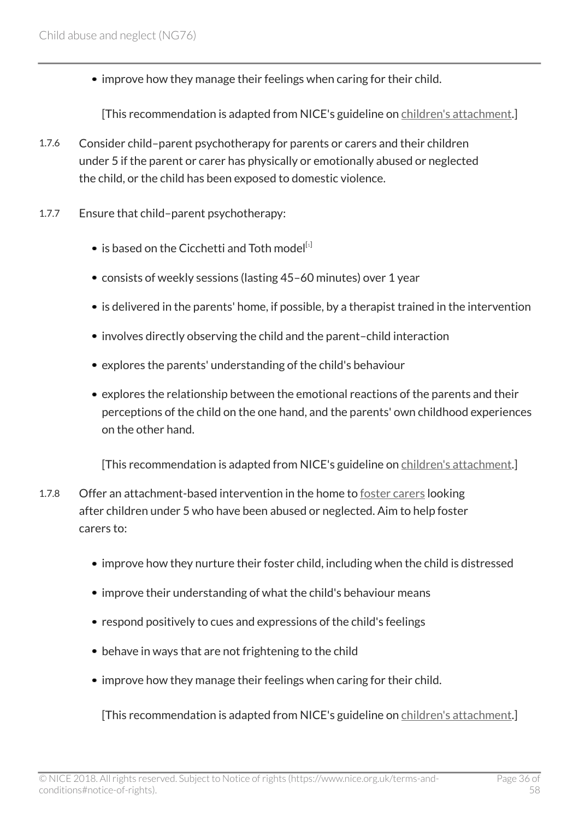• improve how they manage their feelings when caring for their child.

[This recommendation is adapted from NICE's guideline on [children's attachment.](http://www.nice.org.uk/guidance/ng26)]

- 1.7.6 Consider child–parent psychotherapy for parents or carers and their children under 5 if the parent or carer has physically or emotionally abused or neglected the child, or the child has been exposed to domestic violence.
- <span id="page-35-0"></span>1.7.7 Ensure that child–parent psychotherapy:
	- $\bullet$  is based on the Cicchetti and Toth model  $[1]$  $[1]$  $[1]$
	- consists of weekly sessions (lasting 45–60 minutes) over 1 year
	- is delivered in the parents' home, if possible, by a therapist trained in the intervention
	- involves directly observing the child and the parent-child interaction
	- explores the parents' understanding of the child's behaviour
	- explores the relationship between the emotional reactions of the parents and their perceptions of the child on the one hand, and the parents' own childhood experiences on the other hand.

[This recommendation is adapted from NICE's guideline on [children's attachment.](http://www.nice.org.uk/guidance/ng26)]

- 1.7.8 Offer an attachment-based intervention in the home to [foster carers](http://live-publications.nice.org.uk/terms-used-in-this-guideline#foster-carer) looking after children under 5 who have been abused or neglected. Aim to help foster carers to:
	- improve how they nurture their foster child, including when the child is distressed
	- improve their understanding of what the child's behaviour means
	- respond positively to cues and expressions of the child's feelings
	- behave in ways that are not frightening to the child
	- improve how they manage their feelings when caring for their child.

[This recommendation is adapted from NICE's guideline on [children's attachment.](http://www.nice.org.uk/guidance/ng26)]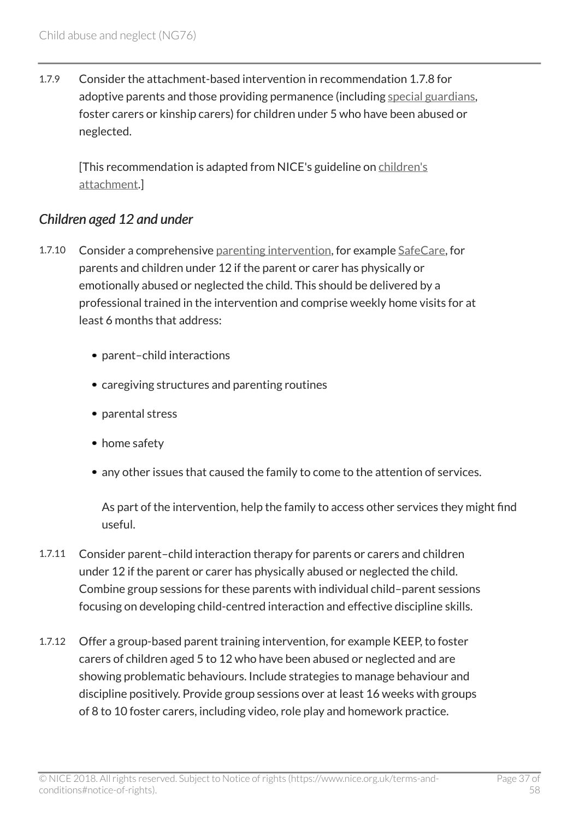1.7.9 Consider the attachment-based intervention in recommendation 1.7.8 for adoptive parents and those providing permanence (including [special guardians](http://live-publications.nice.org.uk/terms-used-in-this-guideline#special-guardian), foster carers or kinship carers) for children under 5 who have been abused or neglected.

[This recommendation is adapted from NICE's guideline on [children's](http://www.nice.org.uk/guidance/ng26) [attachment.](http://www.nice.org.uk/guidance/ng26)]

#### *Children aged 12 and under*

- 1.7.10 Consider a comprehensive [parenting intervention](http://live-publications.nice.org.uk/terms-used-in-this-guideline#parenting-intervention), for example [SafeCare,](http://www.nspcc.org.uk/services-and-resources/services-for-children-and-families/safecare-support-for-parents-of-under-5s/) for parents and children under 12 if the parent or carer has physically or emotionally abused or neglected the child. This should be delivered by a professional trained in the intervention and comprise weekly home visits for at least 6 months that address:
	- parent-child interactions
	- caregiving structures and parenting routines
	- parental stress
	- home safety
	- any other issues that caused the family to come to the attention of services.

As part of the intervention, help the family to access other services they might find useful.

- 1.7.11 Consider parent–child interaction therapy for parents or carers and children under 12 if the parent or carer has physically abused or neglected the child. Combine group sessions for these parents with individual child–parent sessions focusing on developing child-centred interaction and effective discipline skills.
- 1.7.12 Offer a group-based parent training intervention, for example KEEP, to foster carers of children aged 5 to 12 who have been abused or neglected and are showing problematic behaviours. Include strategies to manage behaviour and discipline positively. Provide group sessions over at least 16 weeks with groups of 8 to 10 foster carers, including video, role play and homework practice.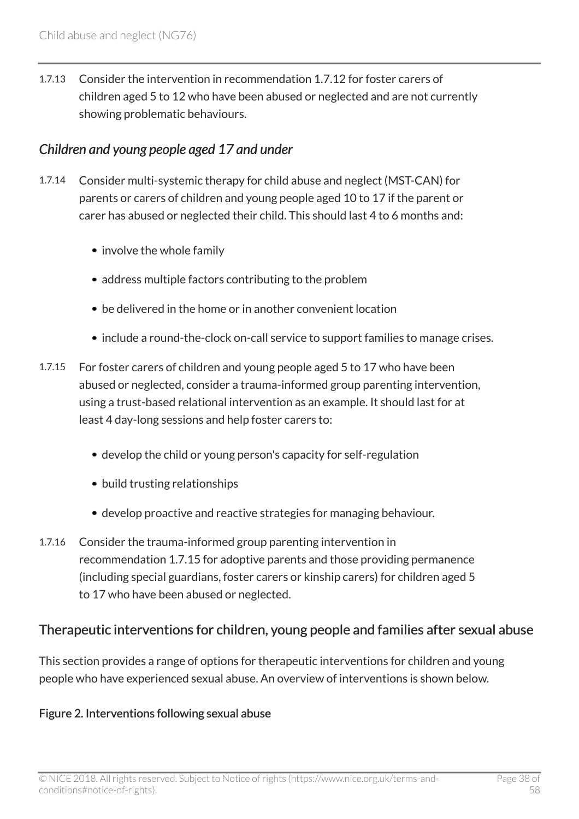1.7.13 Consider the intervention in recommendation 1.7.12 for foster carers of children aged 5 to 12 who have been abused or neglected and are not currently showing problematic behaviours.

#### *Children and young people aged 17 and under*

- 1.7.14 Consider multi-systemic therapy for child abuse and neglect (MST-CAN) for parents or carers of children and young people aged 10 to 17 if the parent or carer has abused or neglected their child. This should last 4 to 6 months and:
	- involve the whole family
	- address multiple factors contributing to the problem
	- be delivered in the home or in another convenient location
	- include a round-the-clock on-call service to support families to manage crises.
- 1.7.15 For foster carers of children and young people aged 5 to 17 who have been abused or neglected, consider a trauma-informed group parenting intervention, using a trust-based relational intervention as an example. It should last for at least 4 day-long sessions and help foster carers to:
	- develop the child or young person's capacity for self-regulation
	- build trusting relationships
	- develop proactive and reactive strategies for managing behaviour.
- 1.7.16 Consider the trauma-informed group parenting intervention in recommendation 1.7.15 for adoptive parents and those providing permanence (including special guardians, foster carers or kinship carers) for children aged 5 to 17 who have been abused or neglected.

#### Therapeutic interventions for children, young people and families after sexual abuse

This section provides a range of options for therapeutic interventions for children and young people who have experienced sexual abuse. An overview of interventions is shown below.

#### Figure 2. Interventions following sexual abuse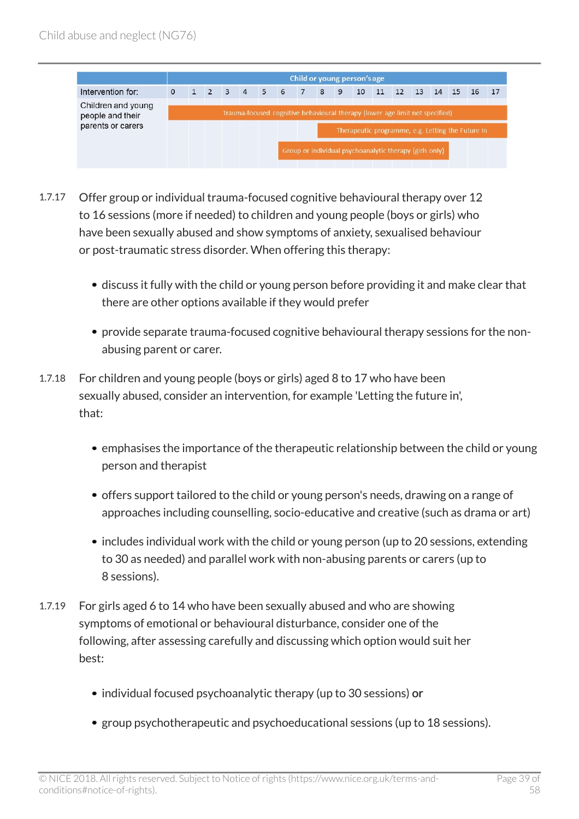

- 1.7.17 Offer group or individual trauma-focused cognitive behavioural therapy over 12 to 16 sessions (more if needed) to children and young people (boys or girls) who have been sexually abused and show symptoms of anxiety, sexualised behaviour or post-traumatic stress disorder. When offering this therapy:
	- discuss it fully with the child or young person before providing it and make clear that there are other options available if they would prefer
	- provide separate trauma-focused cognitive behavioural therapy sessions for the nonabusing parent or carer.
- 1.7.18 For children and young people (boys or girls) aged 8 to 17 who have been sexually abused, consider an intervention, for example 'Letting the future in', that:
	- emphasises the importance of the therapeutic relationship between the child or young person and therapist
	- offers support tailored to the child or young person's needs, drawing on a range of approaches including counselling, socio-educative and creative (such as drama or art)
	- includes individual work with the child or young person (up to 20 sessions, extending to 30 as needed) and parallel work with non-abusing parents or carers (up to 8 sessions).
- 1.7.19 For girls aged 6 to 14 who have been sexually abused and who are showing symptoms of emotional or behavioural disturbance, consider one of the following, after assessing carefully and discussing which option would suit her best:
	- individual focused psychoanalytic therapy (up to 30 sessions) or
	- group psychotherapeutic and psychoeducational sessions (up to 18 sessions).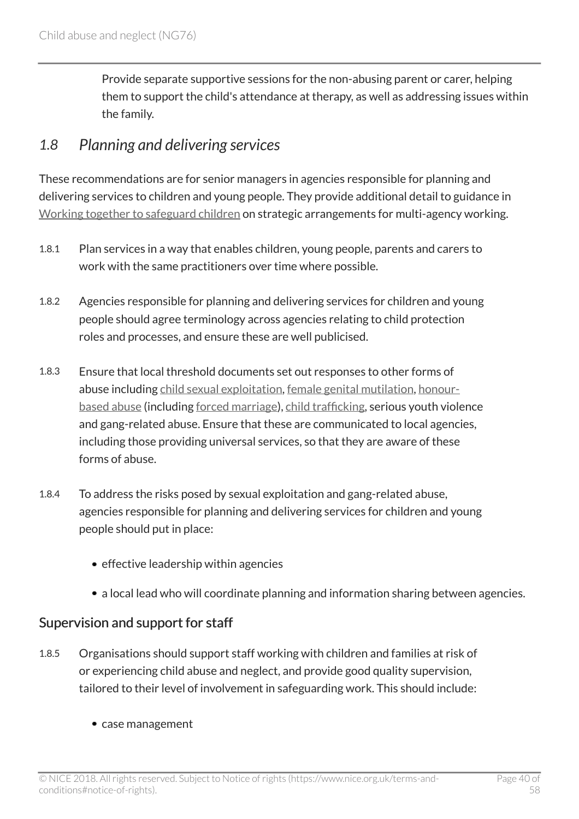Provide separate supportive sessions for the non-abusing parent or carer, helping them to support the child's attendance at therapy, as well as addressing issues within the family.

### <span id="page-39-0"></span>*1.8 Planning and delivering services*

These recommendations are for senior managers in agencies responsible for planning and delivering services to children and young people. They provide additional detail to guidance in [Working together to safeguard children](http://www.gov.uk/government/publications/working-together-to-safeguard-children--2) on strategic arrangements for multi-agency working.

- 1.8.1 Plan services in a way that enables children, young people, parents and carers to work with the same practitioners over time where possible.
- 1.8.2 Agencies responsible for planning and delivering services for children and young people should agree terminology across agencies relating to child protection roles and processes, and ensure these are well publicised.
- 1.8.3 Ensure that local threshold documents set out responses to other forms of abuse including [child sexual exploitation](http://live-publications.nice.org.uk/terms-used-in-this-guideline#child-sexual-exploitation), [female genital mutilation](http://live-publications.nice.org.uk/terms-used-in-this-guideline#female-genital-mutilation), [honour](http://live-publications.nice.org.uk/terms-used-in-this-guideline#honour-based-abuse)[based abuse](http://live-publications.nice.org.uk/terms-used-in-this-guideline#honour-based-abuse) (including [forced marriage](http://live-publications.nice.org.uk/terms-used-in-this-guideline#forced-marriage)), [child trafficking,](http://live-publications.nice.org.uk/terms-used-in-this-guideline#child-trafficking-2) serious youth violence and gang-related abuse. Ensure that these are communicated to local agencies, including those providing universal services, so that they are aware of these forms of abuse.
- 1.8.4 To address the risks posed by sexual exploitation and gang-related abuse, agencies responsible for planning and delivering services for children and young people should put in place:
	- $\bullet$  effective leadership within agencies
	- a local lead who will coordinate planning and information sharing between agencies.

#### Supervision and support for staff

- 1.8.5 Organisations should support staff working with children and families at risk of or experiencing child abuse and neglect, and provide good quality supervision, tailored to their level of involvement in safeguarding work. This should include:
	- case management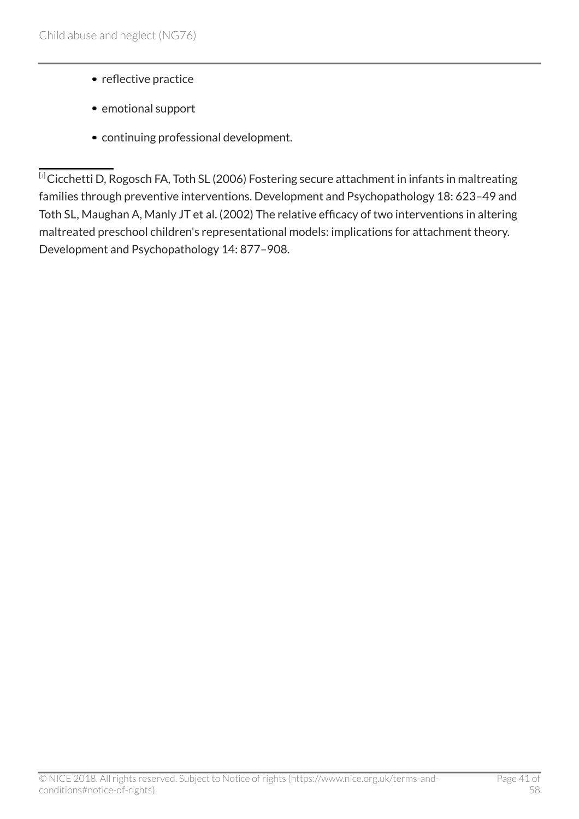- reflective practice
- emotional support
- continuing professional development.

<span id="page-40-0"></span> $\overline{10}$  $\overline{10}$  $\overline{10}$ Cicchetti D, Rogosch FA, Toth SL (2006) Fostering secure attachment in infants in maltreating families through preventive interventions. Development and Psychopathology 18: 623–49 and Toth SL, Maughan A, Manly JT et al. (2002) The relative efficacy of two interventions in altering maltreated preschool children's representational models: implications for attachment theory. Development and Psychopathology 14: 877–908.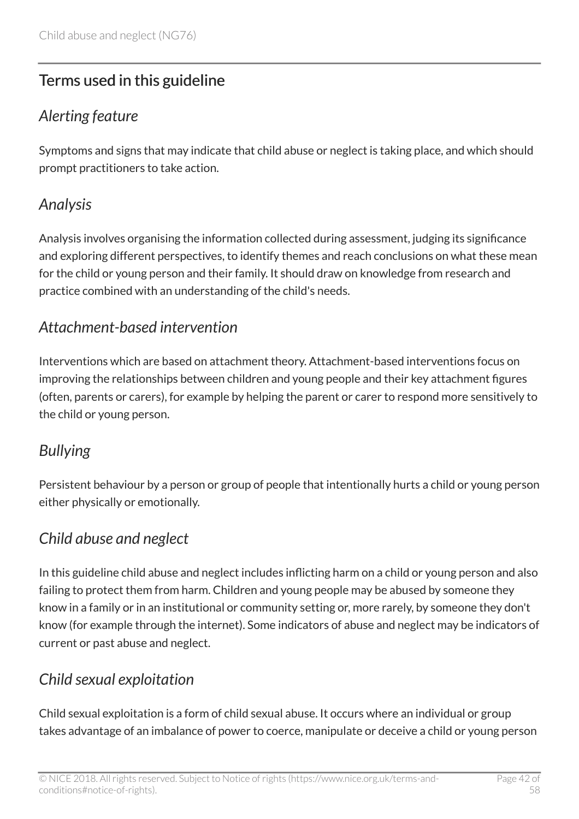# <span id="page-41-0"></span>Terms used in this guideline

# <span id="page-41-1"></span>*Alerting feature*

Symptoms and signs that may indicate that child abuse or neglect is taking place, and which should prompt practitioners to take action.

# <span id="page-41-2"></span>*Analysis*

Analysis involves organising the information collected during assessment, judging its significance and exploring different perspectives, to identify themes and reach conclusions on what these mean for the child or young person and their family. It should draw on knowledge from research and practice combined with an understanding of the child's needs.

# <span id="page-41-3"></span>*Attachment-based intervention*

Interventions which are based on attachment theory. Attachment-based interventions focus on improving the relationships between children and young people and their key attachment figures (often, parents or carers), for example by helping the parent or carer to respond more sensitively to the child or young person.

# <span id="page-41-4"></span>*Bullying*

Persistent behaviour by a person or group of people that intentionally hurts a child or young person either physically or emotionally.

# <span id="page-41-5"></span>*Child abuse and neglect*

In this guideline child abuse and neglect includes inflicting harm on a child or young person and also failing to protect them from harm. Children and young people may be abused by someone they know in a family or in an institutional or community setting or, more rarely, by someone they don't know (for example through the internet). Some indicators of abuse and neglect may be indicators of current or past abuse and neglect.

# <span id="page-41-6"></span>*Child sexual exploitation*

Child sexual exploitation is a form of child sexual abuse. It occurs where an individual or group takes advantage of an imbalance of power to coerce, manipulate or deceive a child or young person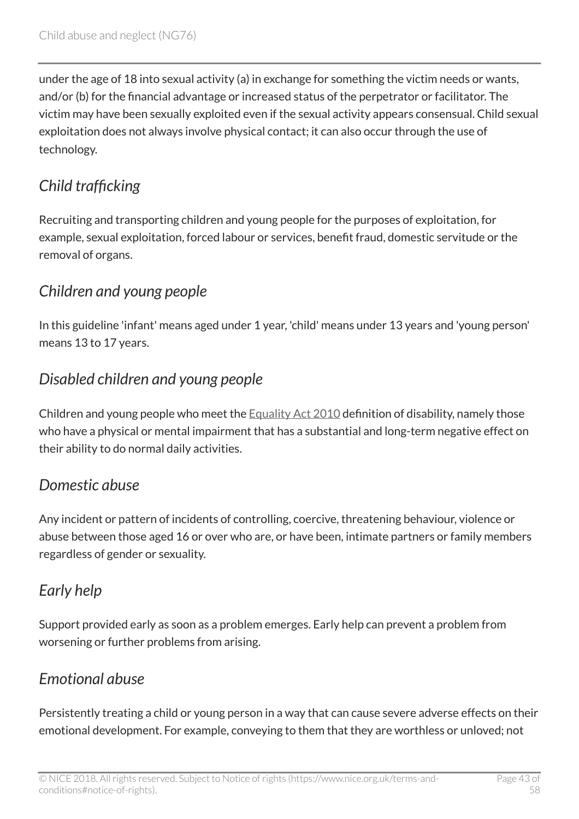under the age of 18 into sexual activity (a) in exchange for something the victim needs or wants, and/or (b) for the financial advantage or increased status of the perpetrator or facilitator. The victim may have been sexually exploited even if the sexual activity appears consensual. Child sexual exploitation does not always involve physical contact; it can also occur through the use of technology.

# <span id="page-42-0"></span>*Child trafficking*

Recruiting and transporting children and young people for the purposes of exploitation, for example, sexual exploitation, forced labour or services, benefit fraud, domestic servitude or the removal of organs.

# <span id="page-42-1"></span>*Children and young people*

In this guideline 'infant' means aged under 1 year, 'child' means under 13 years and 'young person' means 13 to 17 years.

# <span id="page-42-2"></span>*Disabled children and young people*

Children and young people who meet the [Equality Act 2010](http://www.legislation.gov.uk/ukpga/2010/15/contents) definition of disability, namely those who have a physical or mental impairment that has a substantial and long-term negative effect on their ability to do normal daily activities.

### <span id="page-42-3"></span>*Domestic abuse*

Any incident or pattern of incidents of controlling, coercive, threatening behaviour, violence or abuse between those aged 16 or over who are, or have been, intimate partners or family members regardless of gender or sexuality.

# <span id="page-42-4"></span>*Early help*

Support provided early as soon as a problem emerges. Early help can prevent a problem from worsening or further problems from arising.

# <span id="page-42-5"></span>*Emotional abuse*

Persistently treating a child or young person in a way that can cause severe adverse effects on their emotional development. For example, conveying to them that they are worthless or unloved; not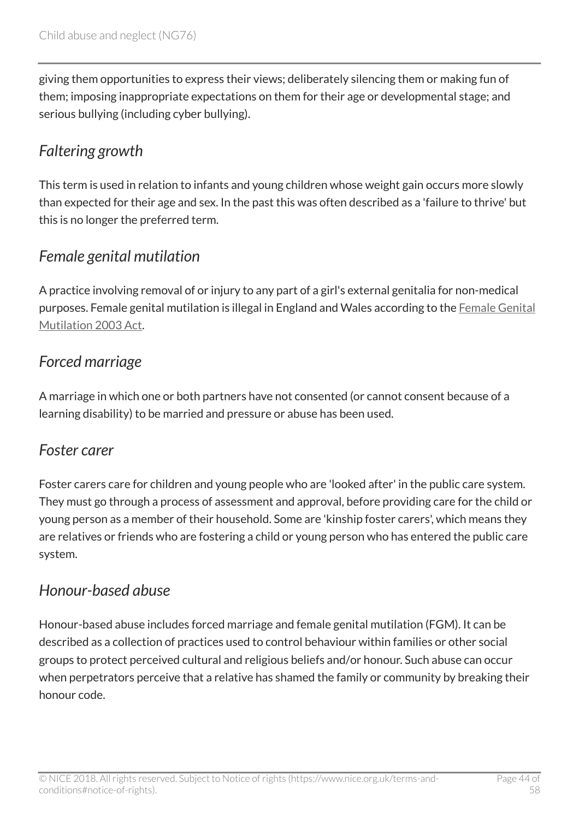giving them opportunities to express their views; deliberately silencing them or making fun of them; imposing inappropriate expectations on them for their age or developmental stage; and serious bullying (including cyber bullying).

# <span id="page-43-0"></span>*Faltering growth*

This term is used in relation to infants and young children whose weight gain occurs more slowly than expected for their age and sex. In the past this was often described as a 'failure to thrive' but this is no longer the preferred term.

# <span id="page-43-1"></span>*Female genital mutilation*

A practice involving removal of or injury to any part of a girl's external genitalia for non-medical purposes. Female genital mutilation is illegal in England and Wales according to the [Female Genital](http://www.legislation.gov.uk/ukpga/2003/31/contents) [Mutilation 2003 Act](http://www.legislation.gov.uk/ukpga/2003/31/contents).

# <span id="page-43-2"></span>*Forced marriage*

A marriage in which one or both partners have not consented (or cannot consent because of a learning disability) to be married and pressure or abuse has been used.

### <span id="page-43-3"></span>*Foster carer*

Foster carers care for children and young people who are 'looked after' in the public care system. They must go through a process of assessment and approval, before providing care for the child or young person as a member of their household. Some are 'kinship foster carers', which means they are relatives or friends who are fostering a child or young person who has entered the public care system.

### <span id="page-43-4"></span>*Honour-based abuse*

Honour-based abuse includes forced marriage and female genital mutilation (FGM). It can be described as a collection of practices used to control behaviour within families or other social groups to protect perceived cultural and religious beliefs and/or honour. Such abuse can occur when perpetrators perceive that a relative has shamed the family or community by breaking their honour code.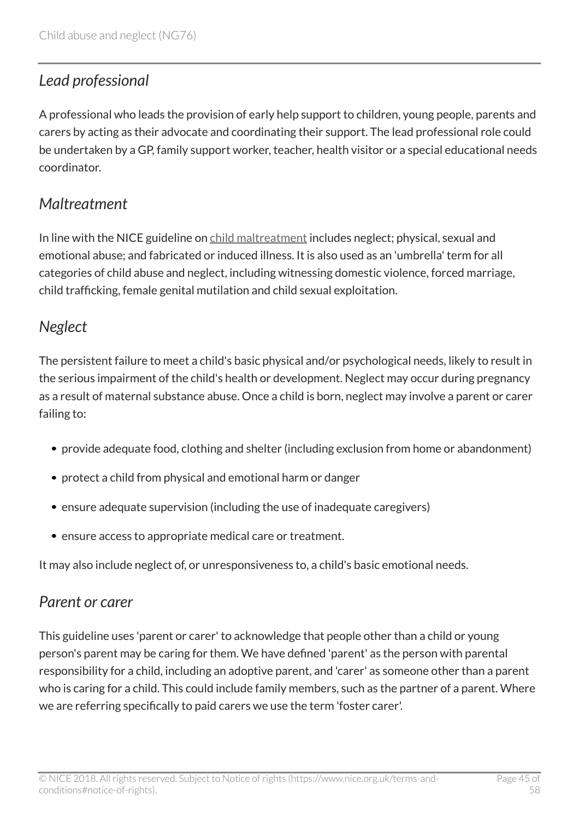# <span id="page-44-0"></span>*Lead professional*

A professional who leads the provision of early help support to children, young people, parents and carers by acting as their advocate and coordinating their support. The lead professional role could be undertaken by a GP, family support worker, teacher, health visitor or a special educational needs coordinator.

### <span id="page-44-1"></span>*Maltreatment*

In line with the NICE guideline on [child maltreatment](http://www.nice.org.uk/guidance/cg89) includes neglect; physical, sexual and emotional abuse; and fabricated or induced illness. It is also used as an 'umbrella' term for all categories of child abuse and neglect, including witnessing domestic violence, forced marriage, child trafficking, female genital mutilation and child sexual exploitation.

### <span id="page-44-2"></span>*Neglect*

The persistent failure to meet a child's basic physical and/or psychological needs, likely to result in the serious impairment of the child's health or development. Neglect may occur during pregnancy as a result of maternal substance abuse. Once a child is born, neglect may involve a parent or carer failing to:

- provide adequate food, clothing and shelter (including exclusion from home or abandonment)
- protect a child from physical and emotional harm or danger
- ensure adequate supervision (including the use of inadequate caregivers)
- ensure access to appropriate medical care or treatment.

It may also include neglect of, or unresponsiveness to, a child's basic emotional needs.

### <span id="page-44-3"></span>*Parent or carer*

This guideline uses 'parent or carer' to acknowledge that people other than a child or young person's parent may be caring for them. We have defined 'parent' as the person with parental responsibility for a child, including an adoptive parent, and 'carer' as someone other than a parent who is caring for a child. This could include family members, such as the partner of a parent. Where we are referring specifically to paid carers we use the term 'foster carer'.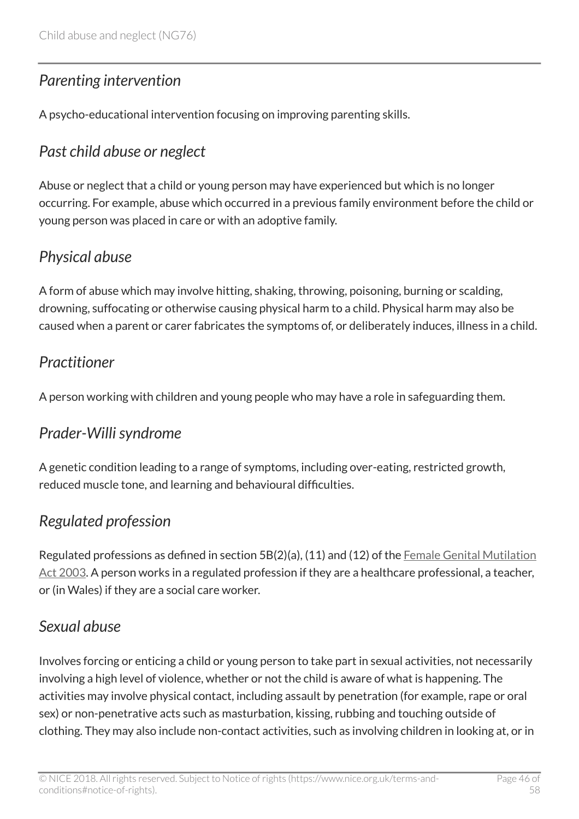# <span id="page-45-0"></span>*Parenting intervention*

A psycho-educational intervention focusing on improving parenting skills.

# <span id="page-45-1"></span>*Past child abuse or neglect*

Abuse or neglect that a child or young person may have experienced but which is no longer occurring. For example, abuse which occurred in a previous family environment before the child or young person was placed in care or with an adoptive family.

# <span id="page-45-2"></span>*Physical abuse*

A form of abuse which may involve hitting, shaking, throwing, poisoning, burning or scalding, drowning, suffocating or otherwise causing physical harm to a child. Physical harm may also be caused when a parent or carer fabricates the symptoms of, or deliberately induces, illness in a child.

# <span id="page-45-3"></span>*Practitioner*

A person working with children and young people who may have a role in safeguarding them.

# <span id="page-45-4"></span>*Prader-Willi syndrome*

A genetic condition leading to a range of symptoms, including over-eating, restricted growth, reduced muscle tone, and learning and behavioural difficulties.

# <span id="page-45-5"></span>*Regulated profession*

Regulated professions as defined in section 5B(2)(a), (11) and (12) of the [Female Genital Mutilation](http://www.legislation.gov.uk/ukpga/2003/31/contents?schedule-2-paragraph-27-1-a) [Act 2003](http://www.legislation.gov.uk/ukpga/2003/31/contents?schedule-2-paragraph-27-1-a). A person works in a regulated profession if they are a healthcare professional, a teacher, or (in Wales) if they are a social care worker.

# <span id="page-45-6"></span>*Sexual abuse*

Involves forcing or enticing a child or young person to take part in sexual activities, not necessarily involving a high level of violence, whether or not the child is aware of what is happening. The activities may involve physical contact, including assault by penetration (for example, rape or oral sex) or non-penetrative acts such as masturbation, kissing, rubbing and touching outside of clothing. They may also include non-contact activities, such as involving children in looking at, or in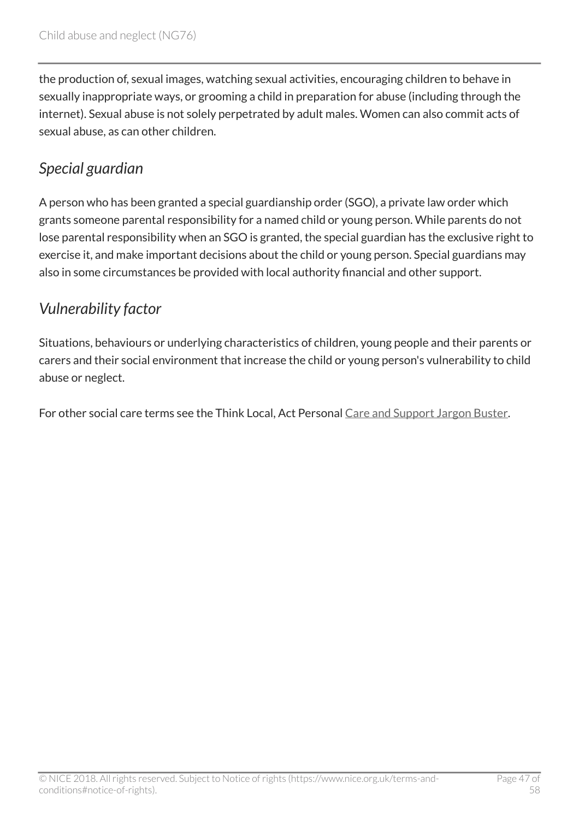the production of, sexual images, watching sexual activities, encouraging children to behave in sexually inappropriate ways, or grooming a child in preparation for abuse (including through the internet). Sexual abuse is not solely perpetrated by adult males. Women can also commit acts of sexual abuse, as can other children.

# <span id="page-46-0"></span>*Special guardian*

A person who has been granted a special guardianship order (SGO), a private law order which grants someone parental responsibility for a named child or young person. While parents do not lose parental responsibility when an SGO is granted, the special guardian has the exclusive right to exercise it, and make important decisions about the child or young person. Special guardians may also in some circumstances be provided with local authority financial and other support.

# <span id="page-46-1"></span>*Vulnerability factor*

Situations, behaviours or underlying characteristics of children, young people and their parents or carers and their social environment that increase the child or young person's vulnerability to child abuse or neglect.

For other social care terms see the Think Local, Act Personal [Care and Support Jargon Buster](http://www.thinklocalactpersonal.org.uk/Browse/Informationandadvice/CareandSupportJargonBuster).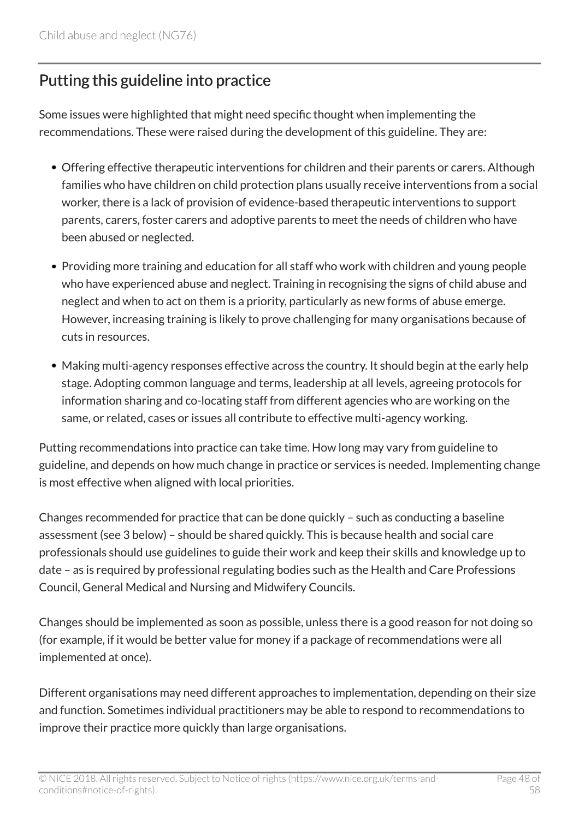# <span id="page-47-0"></span>Putting this guideline into practice

Some issues were highlighted that might need specific thought when implementing the recommendations. These were raised during the development of this guideline. They are:

- Offering effective therapeutic interventions for children and their parents or carers. Although families who have children on child protection plans usually receive interventions from a social worker, there is a lack of provision of evidence-based therapeutic interventions to support parents, carers, foster carers and adoptive parents to meet the needs of children who have been abused or neglected.
- Providing more training and education for all staff who work with children and young people who have experienced abuse and neglect. Training in recognising the signs of child abuse and neglect and when to act on them is a priority, particularly as new forms of abuse emerge. However, increasing training is likely to prove challenging for many organisations because of cuts in resources.
- Making multi-agency responses effective across the country. It should begin at the early help stage. Adopting common language and terms, leadership at all levels, agreeing protocols for information sharing and co-locating staff from different agencies who are working on the same, or related, cases or issues all contribute to effective multi-agency working.

Putting recommendations into practice can take time. How long may vary from guideline to guideline, and depends on how much change in practice or services is needed. Implementing change is most effective when aligned with local priorities.

Changes recommended for practice that can be done quickly – such as conducting a baseline assessment (see 3 below) – should be shared quickly. This is because health and social care professionals should use guidelines to guide their work and keep their skills and knowledge up to date – as is required by professional regulating bodies such as the Health and Care Professions Council, General Medical and Nursing and Midwifery Councils.

Changes should be implemented as soon as possible, unless there is a good reason for not doing so (for example, if it would be better value for money if a package of recommendations were all implemented at once).

Different organisations may need different approaches to implementation, depending on their size and function. Sometimes individual practitioners may be able to respond to recommendations to improve their practice more quickly than large organisations.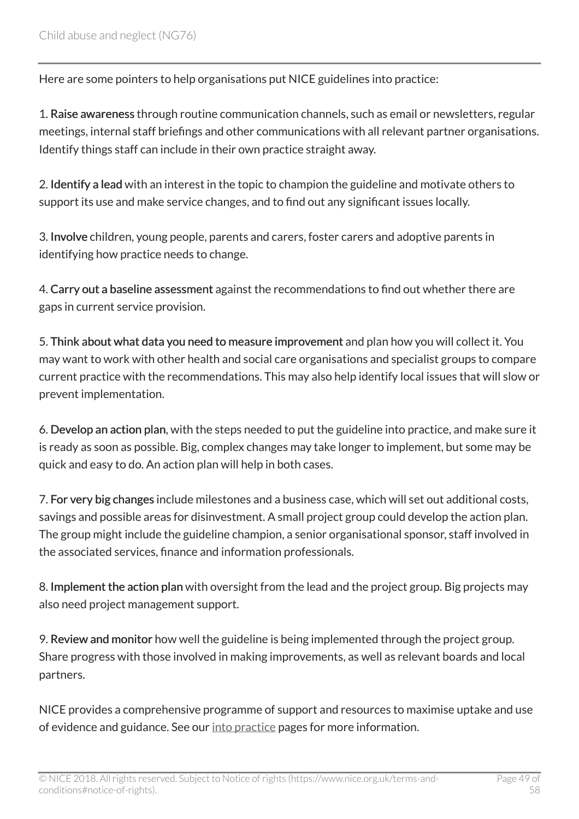Here are some pointers to help organisations put NICE guidelines into practice:

1. Raise awareness through routine communication channels, such as email or newsletters, regular meetings, internal staff briefings and other communications with all relevant partner organisations. Identify things staff can include in their own practice straight away.

2. Identify a lead with an interest in the topic to champion the guideline and motivate others to support its use and make service changes, and to find out any significant issues locally.

3. Involve children, young people, parents and carers, foster carers and adoptive parents in identifying how practice needs to change.

4. Carry out a baseline assessment against the recommendations to find out whether there are gaps in current service provision.

5. Think about what data you need to measure improvement and plan how you will collect it. You may want to work with other health and social care organisations and specialist groups to compare current practice with the recommendations. This may also help identify local issues that will slow or prevent implementation.

6. Develop an action plan, with the steps needed to put the guideline into practice, and make sure it is ready as soon as possible. Big, complex changes may take longer to implement, but some may be quick and easy to do. An action plan will help in both cases.

7. For very big changes include milestones and a business case, which will set out additional costs, savings and possible areas for disinvestment. A small project group could develop the action plan. The group might include the guideline champion, a senior organisational sponsor, staff involved in the associated services, finance and information professionals.

8. Implement the action plan with oversight from the lead and the project group. Big projects may also need project management support.

9. Review and monitor how well the guideline is being implemented through the project group. Share progress with those involved in making improvements, as well as relevant boards and local partners.

NICE provides a comprehensive programme of support and resources to maximise uptake and use of evidence and guidance. See our [into practice](http://www.nice.org.uk/about/what-we-do/into-practice) pages for more information.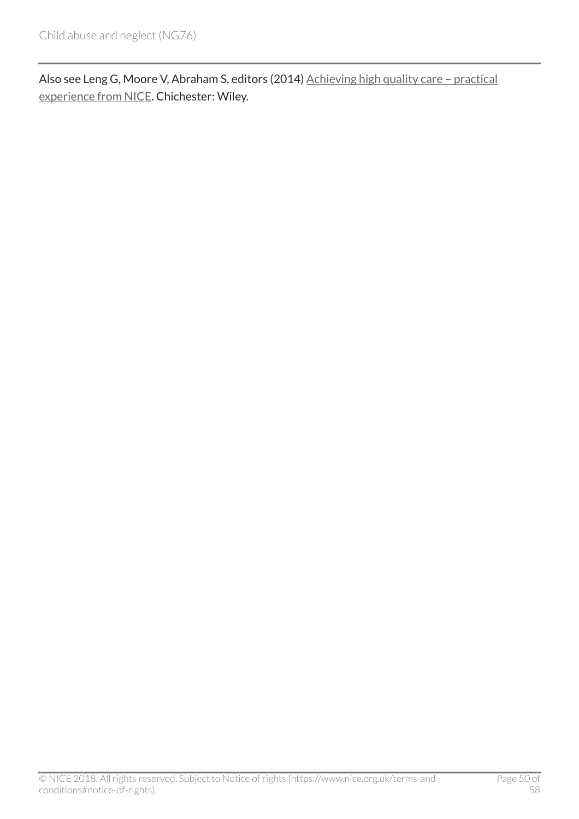Also see Leng G, Moore V, Abraham S, editors (2014) Achieving high quality care - practical [experience from NICE.](http://onlinelibrary.wiley.com/doi/10.1002/9781118543412.ch2/summary) Chichester: Wiley.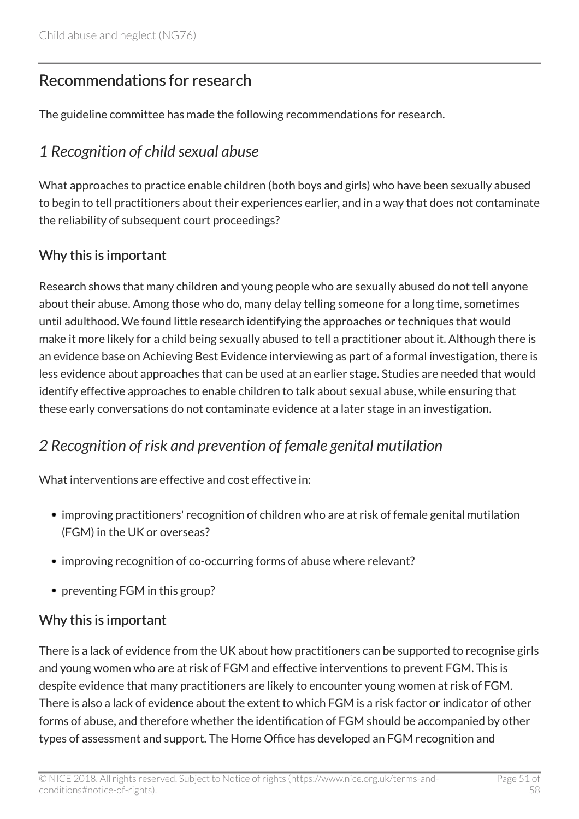# <span id="page-50-0"></span>Recommendations for research

The guideline committee has made the following recommendations for research.

# <span id="page-50-1"></span>*1 Recognition of child sexual abuse*

What approaches to practice enable children (both boys and girls) who have been sexually abused to begin to tell practitioners about their experiences earlier, and in a way that does not contaminate the reliability of subsequent court proceedings?

#### Why this is important

Research shows that many children and young people who are sexually abused do not tell anyone about their abuse. Among those who do, many delay telling someone for a long time, sometimes until adulthood. We found little research identifying the approaches or techniques that would make it more likely for a child being sexually abused to tell a practitioner about it. Although there is an evidence base on Achieving Best Evidence interviewing as part of a formal investigation, there is less evidence about approaches that can be used at an earlier stage. Studies are needed that would identify effective approaches to enable children to talk about sexual abuse, while ensuring that these early conversations do not contaminate evidence at a later stage in an investigation.

### <span id="page-50-2"></span>*2 Recognition of risk and prevention of female genital mutilation*

What interventions are effective and cost effective in:

- improving practitioners' recognition of children who are at risk of female genital mutilation (FGM) in the UK or overseas?
- improving recognition of co-occurring forms of abuse where relevant?
- preventing FGM in this group?

#### Why this is important

There is a lack of evidence from the UK about how practitioners can be supported to recognise girls and young women who are at risk of FGM and effective interventions to prevent FGM. This is despite evidence that many practitioners are likely to encounter young women at risk of FGM. There is also a lack of evidence about the extent to which FGM is a risk factor or indicator of other forms of abuse, and therefore whether the identification of FGM should be accompanied by other types of assessment and support. The Home Office has developed an FGM recognition and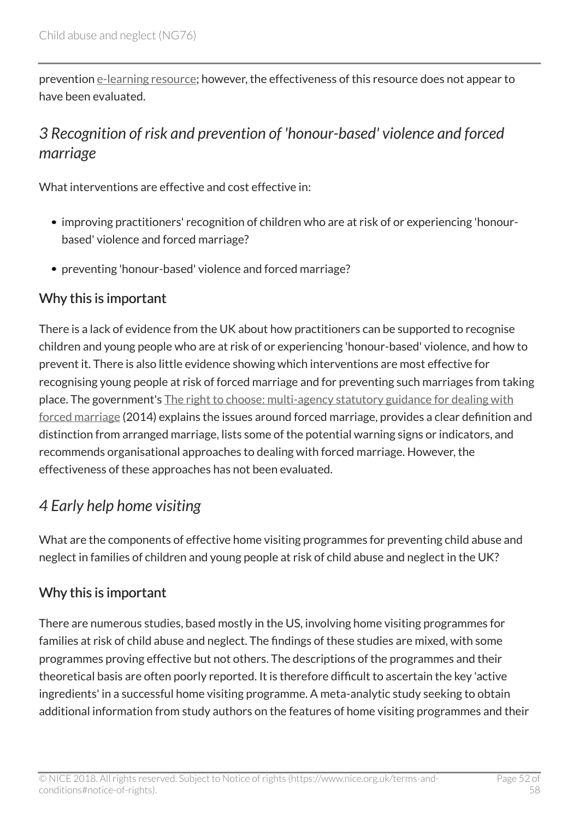prevention [e-learning resource;](http://www.safeguardingchildrenea.co.uk/resources/female-genital-mutilation-recognising-preventing-fgm-free-online-training/) however, the effectiveness of this resource does not appear to have been evaluated.

# <span id="page-51-0"></span>*3 Recognition of risk and prevention of 'honour-based' violence and forced marriage*

What interventions are effective and cost effective in:

- improving practitioners' recognition of children who are at risk of or experiencing 'honourbased' violence and forced marriage?
- preventing 'honour-based' violence and forced marriage?

#### Why this is important

There is a lack of evidence from the UK about how practitioners can be supported to recognise children and young people who are at risk of or experiencing 'honour-based' violence, and how to prevent it. There is also little evidence showing which interventions are most effective for recognising young people at risk of forced marriage and for preventing such marriages from taking place. The government's [The right to choose: multi-agency statutory guidance for dealing with](http://www.gov.uk/guidance/forced-marriage) [forced marriage](http://www.gov.uk/guidance/forced-marriage) (2014) explains the issues around forced marriage, provides a clear definition and distinction from arranged marriage, lists some of the potential warning signs or indicators, and recommends organisational approaches to dealing with forced marriage. However, the effectiveness of these approaches has not been evaluated.

# <span id="page-51-1"></span>*4 Early help home visiting*

What are the components of effective home visiting programmes for preventing child abuse and neglect in families of children and young people at risk of child abuse and neglect in the UK?

### Why this is important

There are numerous studies, based mostly in the US, involving home visiting programmes for families at risk of child abuse and neglect. The findings of these studies are mixed, with some programmes proving effective but not others. The descriptions of the programmes and their theoretical basis are often poorly reported. It is therefore difficult to ascertain the key 'active ingredients' in a successful home visiting programme. A meta-analytic study seeking to obtain additional information from study authors on the features of home visiting programmes and their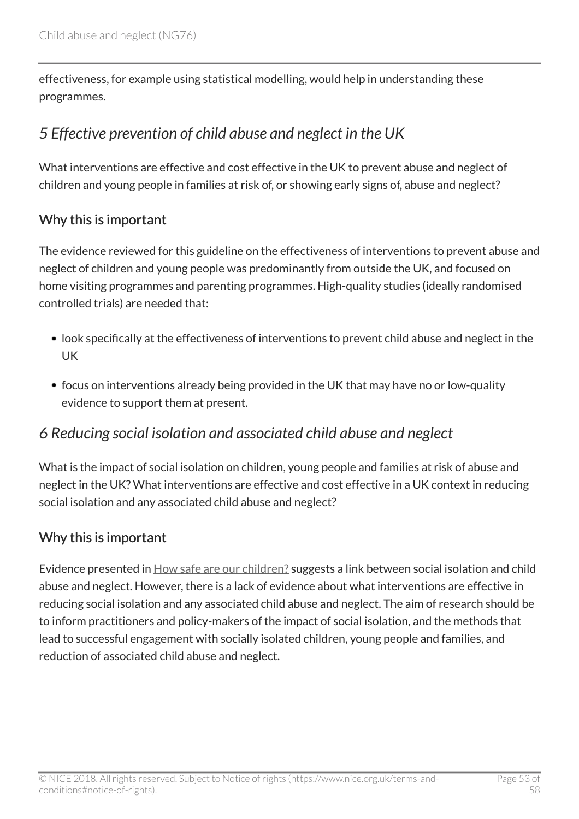effectiveness, for example using statistical modelling, would help in understanding these programmes.

# <span id="page-52-0"></span>*5 Effective prevention of child abuse and neglect in the UK*

What interventions are effective and cost effective in the UK to prevent abuse and neglect of children and young people in families at risk of, or showing early signs of, abuse and neglect?

#### Why this is important

The evidence reviewed for this guideline on the effectiveness of interventions to prevent abuse and neglect of children and young people was predominantly from outside the UK, and focused on home visiting programmes and parenting programmes. High-quality studies (ideally randomised controlled trials) are needed that:

- look specifically at the effectiveness of interventions to prevent child abuse and neglect in the UK
- focus on interventions already being provided in the UK that may have no or low-quality evidence to support them at present.

### <span id="page-52-1"></span>*6 Reducing social isolation and associated child abuse and neglect*

What is the impact of social isolation on children, young people and families at risk of abuse and neglect in the UK? What interventions are effective and cost effective in a UK context in reducing social isolation and any associated child abuse and neglect?

#### Why this is important

Evidence presented in [How safe are our children?](https://www.nspcc.org.uk/services-and-resources/research-and-resources/2014/how-safe-are-our-children-2014/) suggests a link between social isolation and child abuse and neglect. However, there is a lack of evidence about what interventions are effective in reducing social isolation and any associated child abuse and neglect. The aim of research should be to inform practitioners and policy-makers of the impact of social isolation, and the methods that lead to successful engagement with socially isolated children, young people and families, and reduction of associated child abuse and neglect.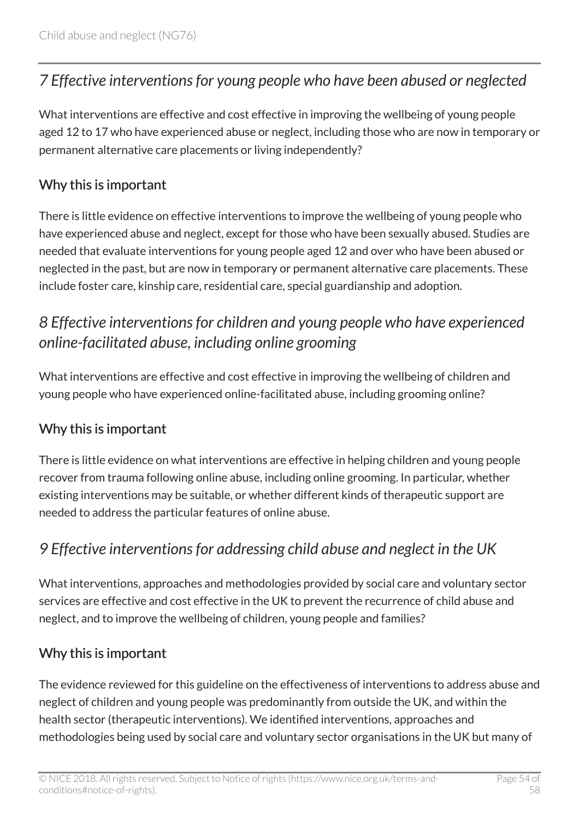### <span id="page-53-0"></span>*7 Effective interventions for young people who have been abused or neglected*

What interventions are effective and cost effective in improving the wellbeing of young people aged 12 to 17 who have experienced abuse or neglect, including those who are now in temporary or permanent alternative care placements or living independently?

#### Why this is important

There is little evidence on effective interventions to improve the wellbeing of young people who have experienced abuse and neglect, except for those who have been sexually abused. Studies are needed that evaluate interventions for young people aged 12 and over who have been abused or neglected in the past, but are now in temporary or permanent alternative care placements. These include foster care, kinship care, residential care, special guardianship and adoption.

# <span id="page-53-1"></span>*8 Effective interventions for children and young people who have experienced online-facilitated abuse, including online grooming*

What interventions are effective and cost effective in improving the wellbeing of children and young people who have experienced online-facilitated abuse, including grooming online?

### Why this is important

There is little evidence on what interventions are effective in helping children and young people recover from trauma following online abuse, including online grooming. In particular, whether existing interventions may be suitable, or whether different kinds of therapeutic support are needed to address the particular features of online abuse.

### <span id="page-53-2"></span>*9 Effective interventions for addressing child abuse and neglect in the UK*

What interventions, approaches and methodologies provided by social care and voluntary sector services are effective and cost effective in the UK to prevent the recurrence of child abuse and neglect, and to improve the wellbeing of children, young people and families?

#### Why this is important

The evidence reviewed for this guideline on the effectiveness of interventions to address abuse and neglect of children and young people was predominantly from outside the UK, and within the health sector (therapeutic interventions). We identified interventions, approaches and methodologies being used by social care and voluntary sector organisations in the UK but many of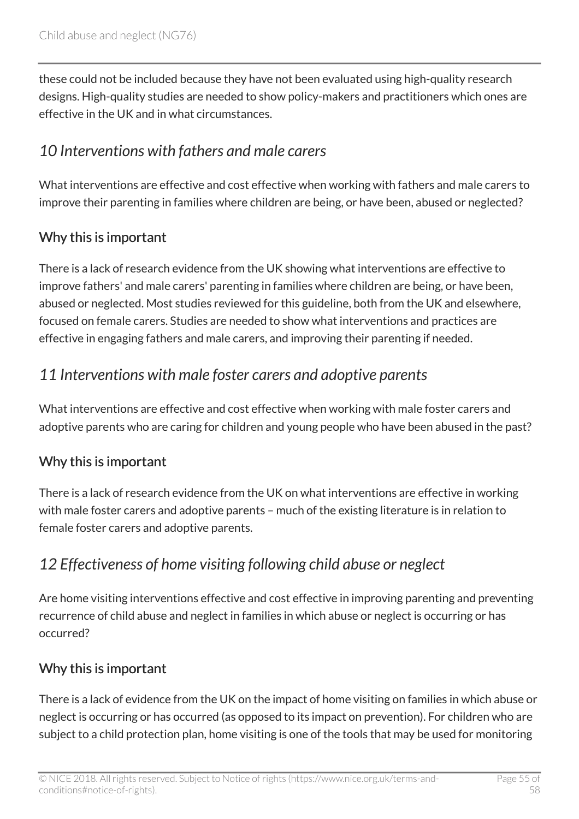these could not be included because they have not been evaluated using high-quality research designs. High-quality studies are needed to show policy-makers and practitioners which ones are effective in the UK and in what circumstances.

# <span id="page-54-0"></span>*10 Interventions with fathers and male carers*

What interventions are effective and cost effective when working with fathers and male carers to improve their parenting in families where children are being, or have been, abused or neglected?

### Why this is important

There is a lack of research evidence from the UK showing what interventions are effective to improve fathers' and male carers' parenting in families where children are being, or have been, abused or neglected. Most studies reviewed for this guideline, both from the UK and elsewhere, focused on female carers. Studies are needed to show what interventions and practices are effective in engaging fathers and male carers, and improving their parenting if needed.

# <span id="page-54-1"></span>*11 Interventions with male foster carers and adoptive parents*

What interventions are effective and cost effective when working with male foster carers and adoptive parents who are caring for children and young people who have been abused in the past?

### Why this is important

There is a lack of research evidence from the UK on what interventions are effective in working with male foster carers and adoptive parents – much of the existing literature is in relation to female foster carers and adoptive parents.

# <span id="page-54-2"></span>*12 Effectiveness of home visiting following child abuse or neglect*

Are home visiting interventions effective and cost effective in improving parenting and preventing recurrence of child abuse and neglect in families in which abuse or neglect is occurring or has occurred?

### Why this is important

There is a lack of evidence from the UK on the impact of home visiting on families in which abuse or neglect is occurring or has occurred (as opposed to its impact on prevention). For children who are subject to a child protection plan, home visiting is one of the tools that may be used for monitoring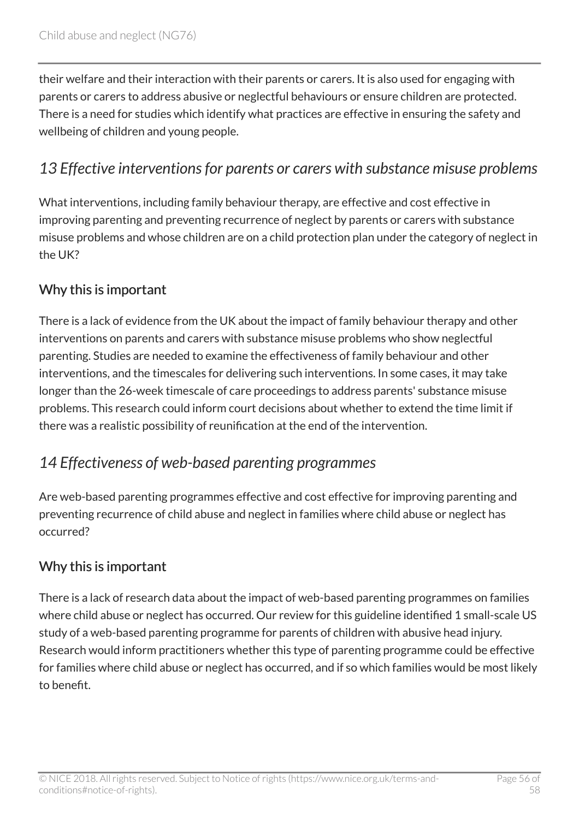their welfare and their interaction with their parents or carers. It is also used for engaging with parents or carers to address abusive or neglectful behaviours or ensure children are protected. There is a need for studies which identify what practices are effective in ensuring the safety and wellbeing of children and young people.

### <span id="page-55-0"></span>*13 Effective interventions for parents or carers with substance misuse problems*

What interventions, including family behaviour therapy, are effective and cost effective in improving parenting and preventing recurrence of neglect by parents or carers with substance misuse problems and whose children are on a child protection plan under the category of neglect in the UK?

#### Why this is important

There is a lack of evidence from the UK about the impact of family behaviour therapy and other interventions on parents and carers with substance misuse problems who show neglectful parenting. Studies are needed to examine the effectiveness of family behaviour and other interventions, and the timescales for delivering such interventions. In some cases, it may take longer than the 26-week timescale of care proceedings to address parents' substance misuse problems. This research could inform court decisions about whether to extend the time limit if there was a realistic possibility of reunification at the end of the intervention.

### <span id="page-55-1"></span>*14 Effectiveness of web-based parenting programmes*

Are web-based parenting programmes effective and cost effective for improving parenting and preventing recurrence of child abuse and neglect in families where child abuse or neglect has occurred?

### Why this is important

There is a lack of research data about the impact of web-based parenting programmes on families where child abuse or neglect has occurred. Our review for this guideline identified 1 small-scale US study of a web-based parenting programme for parents of children with abusive head injury. Research would inform practitioners whether this type of parenting programme could be effective for families where child abuse or neglect has occurred, and if so which families would be most likely to benefit.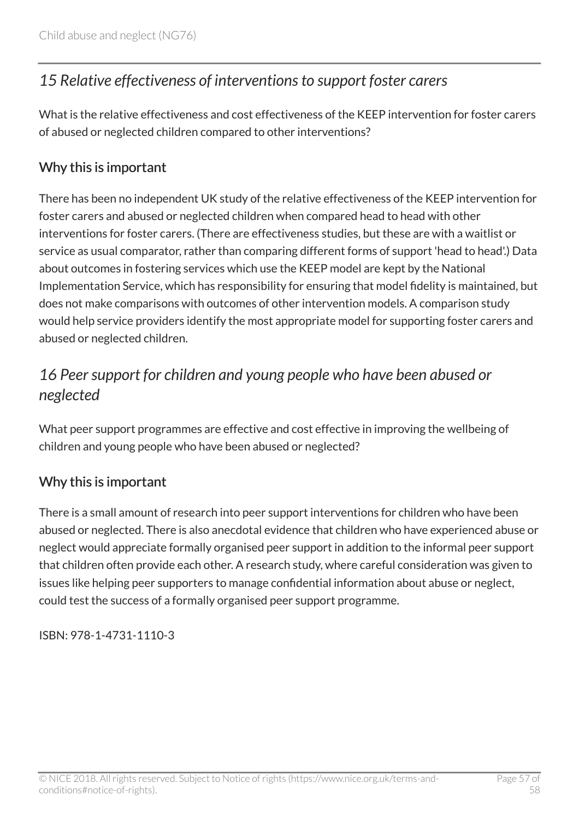# <span id="page-56-0"></span>*15 Relative effectiveness of interventions to support foster carers*

What is the relative effectiveness and cost effectiveness of the KEEP intervention for foster carers of abused or neglected children compared to other interventions?

#### Why this is important

There has been no independent UK study of the relative effectiveness of the KEEP intervention for foster carers and abused or neglected children when compared head to head with other interventions for foster carers. (There are effectiveness studies, but these are with a waitlist or service as usual comparator, rather than comparing different forms of support 'head to head'.) Data about outcomes in fostering services which use the KEEP model are kept by the National Implementation Service, which has responsibility for ensuring that model fidelity is maintained, but does not make comparisons with outcomes of other intervention models. A comparison study would help service providers identify the most appropriate model for supporting foster carers and abused or neglected children.

# <span id="page-56-1"></span>*16 Peer support for children and young people who have been abused or neglected*

What peer support programmes are effective and cost effective in improving the wellbeing of children and young people who have been abused or neglected?

#### Why this is important

There is a small amount of research into peer support interventions for children who have been abused or neglected. There is also anecdotal evidence that children who have experienced abuse or neglect would appreciate formally organised peer support in addition to the informal peer support that children often provide each other. A research study, where careful consideration was given to issues like helping peer supporters to manage confidential information about abuse or neglect, could test the success of a formally organised peer support programme.

ISBN: 978-1-4731-1110-3